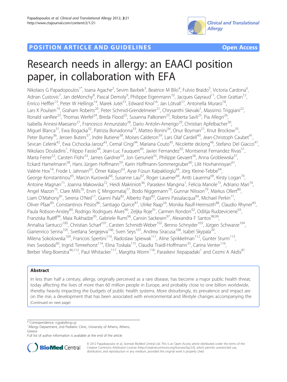

## POSITION ARTICLE AND GUIDELINES **Show The Second Access** open Access



# Research needs in allergy: an EAACI position paper, in collaboration with EFA

Nikolaos G Papadopoulos<sup>1\*</sup>, Ioana Agache<sup>2</sup>, Sevim Bavbek<sup>3</sup>, Beatrice M Bilo<sup>4</sup>, Fulvio Braido<sup>5</sup>, Victoria Cardona<sup>6</sup> , Adnan Custovic<sup>7</sup>, Jan deMonchy<sup>8</sup>, Pascal Demoly<sup>9</sup>, Philippe Eigenmann<sup>10</sup>, Jacques Gayraud<sup>11</sup>, Clive Grattan<sup>12</sup>, Enrico Heffler<sup>13</sup>, Peter W Hellings<sup>14</sup>, Marek Jutel<sup>15</sup>, Edward Knol<sup>16</sup>, Jan Lötvall<sup>17</sup>, Antonella Muraro<sup>18</sup>, Lars K Poulsen<sup>19</sup>, Graham Roberts<sup>20</sup>, Peter Schmid-Grendelmeier<sup>21</sup>, Chrysanthi Skevaki<sup>1</sup>, Massimo Triggiani<sup>22</sup>, Ronald vanRee<sup>23</sup>, Thomas Werfel<sup>24</sup>, Breda Flood<sup>25</sup>, Susanna Palkonen<sup>25</sup>, Roberta Savli<sup>25</sup>, Pia Allegri<sup>26</sup>, Isabella Annesi-Maesano<sup>27</sup>, Francesco Annunziato<sup>28</sup>, Dario Antolin-Amerigo<sup>29</sup>, Christian Apfelbacher<sup>30</sup>, Miguel Blanca<sup>31</sup>, Ewa Bogacka<sup>32</sup>, Patrizia Bonadonna<sup>33</sup>, Matteo Bonini<sup>34</sup>, Onur Boyman<sup>21</sup>, Knut Brockow<sup>35</sup>, Peter Burney<sup>36</sup>, Jeroen Buters<sup>37</sup>, Indre Butiene<sup>38</sup>, Moises Calderon<sup>39</sup>, Lars Olaf Cardell<sup>40</sup>, Jean-Christoph Caubet<sup>41</sup>, Sevcan Celenk<sup>42</sup>, Ewa Cichocka-Jarosz<sup>43</sup>, Cemal Cingi<sup>44</sup>, Mariana Couto<sup>45</sup>, Nicolette deJong<sup>46</sup>, Stefano Del Giacco<sup>47</sup>, Nikolaos Douladiris<sup>1</sup>, Filippo Fassio<sup>48</sup>, Jean-Luc Fauquert<sup>49</sup>, Javier Fernandez<sup>50</sup>, Montserrat Fernandez Rivas<sup>51</sup>, Marta Ferrer<sup>52</sup>, Carsten Flohr<sup>53</sup>, James Gardner<sup>54</sup>, Jon Genuneit<sup>55</sup>, Philippe Gevaert<sup>56</sup>, Anna Groblewska<sup>57</sup>, Eckard Hamelmann<sup>58</sup>, Hans Jürgen Hoffmann<sup>59</sup>, Karin Hoffmann-Sommergruber<sup>60</sup>, Lilit Hovhannisyan<sup>61</sup>, Valérie Hox<sup>14</sup>, Frode L Jahnsen<sup>62</sup>, Ömer Kalayci<sup>63</sup>, Ayse Füsun Kalpaklioglu<sup>64</sup>, Jörg Kleine-Tebbe<sup>64</sup>, George Konstantinou<sup>65</sup>, Marcin Kurowski<sup>66</sup>, Susanne Lau<sup>67</sup>, Roger Lauener<sup>68</sup>, Antti Lauerma<sup>69</sup>, Kirsty Logan<sup>70</sup>, Antoine Magnan<sup>71</sup>, Joanna Makowska<sup>72</sup>, Heidi Makrinioti<sup>36</sup>, Paraskevi Mangina<sup>1</sup>, Felicia Manole<sup>73</sup>, Adriano Mari<sup>74</sup>, Angel Mazon<sup>75</sup>, Clare Mills<sup>76</sup>, Ervin Ç Mingomataj<sup>77</sup>, Bodo Niggemann<sup>78</sup>, Gunnar Nilsson<sup>79</sup>, Markus Ollert<sup>80</sup>, Liam O'Mahony<sup>81</sup>, Serena O'Neil<sup>17</sup>, Gianni Pala<sup>82</sup>, Alberto Papi<sup>83</sup>, Gianni Passalacqua<sup>84</sup>, Michael Perkin<sup>71</sup>, Oliver Pfaar<sup>85</sup>, Constantinos Pitsios<sup>86</sup>, Santiago Quirce<sup>87</sup>, Ulrike Raap<sup>24</sup>, Monika Raulf-Heimsoth<sup>88</sup>, Claudio Rhyner<sup>83</sup>, Paula Robson-Ansley<sup>89</sup>, Rodrigo Rodrigues Alves<sup>90</sup>, Zeljka Roje<sup>91</sup>, Carmen Rondon<sup>92</sup>, Odilija Rudzeviciene<sup>93</sup>, Franziska Ruëff<sup>94</sup>, Maia Rukhadze<sup>95</sup>, Gabriele Rumi<sup>96</sup>, Cansin Sackesen<sup>97</sup>, Alexandra F Santos<sup>98,99</sup>, Annalisa Santucci<sup>100</sup>, Christian Scharf<sup>101</sup>, Carsten Schmidt-Weber<sup>102</sup>, Benno Schnyder<sup>103</sup>, Jürgen Schwarze<sup>104</sup>, Gianenrico Senna<sup>105</sup>, Svetlana Sergejeva<sup>106</sup>, Sven Seys<sup>107</sup>, Andrea Siracusa<sup>108</sup>, Isabel Skypala<sup>39</sup>, Milena Sokolowska<sup>109</sup>, Francois Spertini<sup>110</sup>, Radoslaw Spiewak<sup>111</sup>, Aline Sprikkelman<sup>112</sup>, Gunter Sturm<sup>113</sup>, Ines Swoboda<sup>60</sup>, Ingrid Terreehorst<sup>114</sup>, Elina Toskala<sup>115</sup>, Claudia Traidl-Hoffmann<sup>35</sup>, Carina Venter<sup>116</sup>, Berber Vlieg-Boerstra<sup>46,112</sup>, Paul Whitacker<sup>117</sup>, Margitta Worm<sup>118</sup>, Paraskevi Xepapadaki<sup>1</sup> and Cezmi A Akdis<sup>81</sup>

## Abstract

In less than half a century, allergy, originally perceived as a rare disease, has become a major public health threat, today affecting the lives of more than 60 million people in Europe, and probably close to one billion worldwide, thereby heavily impacting the budgets of public health systems. More disturbingly, its prevalence and impact are on the rise, a development that has been associated with environmental and lifestyle changes accompanying the (Continued on next page)

\* Correspondence: [ngp@allergy.gr](mailto:ngp@allergy.gr) <sup>1</sup>

Full list of author information is available at the end of the article



© 2012 Papadopoulos et al.; licensee BioMed Central Ltd. This is an Open Access article distributed under the terms of the Creative Commons Attribution License (<http://creativecommons.org/licenses/by/2.0>), which permits unrestricted use, distribution, and reproduction in any medium, provided the original work is properly cited.

<sup>&</sup>lt;sup>1</sup> Allergy Department, 2nd Pediatric Clinic, University of Athens, Athens Greece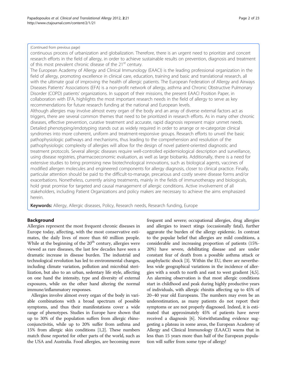#### (Continued from previous page)

continuous process of urbanization and globalization. Therefore, there is an urgent need to prioritize and concert research efforts in the field of allergy, in order to achieve sustainable results on prevention, diagnosis and treatment of this most prevalent chronic disease of the 21<sup>st</sup> century.

The European Academy of Allergy and Clinical Immunology (EAACI) is the leading professional organization in the field of allergy, promoting excellence in clinical care, education, training and basic and translational research, all with the ultimate goal of improving the health of allergic patients. The European Federation of Allergy and Airways Diseases Patients' Associations (EFA) is a non-profit network of allergy, asthma and Chronic Obstructive Pulmonary Disorder (COPD) patients' organizations. In support of their missions, the present EAACI Position Paper, in collaboration with EFA, highlights the most important research needs in the field of allergy to serve as key recommendations for future research funding at the national and European levels.

Although allergies may involve almost every organ of the body and an array of diverse external factors act as triggers, there are several common themes that need to be prioritized in research efforts. As in many other chronic diseases, effective prevention, curative treatment and accurate, rapid diagnosis represent major unmet needs. Detailed phenotyping/endotyping stands out as widely required in order to arrange or re-categorize clinical syndromes into more coherent, uniform and treatment-responsive groups. Research efforts to unveil the basic pathophysiologic pathways and mechanisms, thus leading to the comprehension and resolution of the pathophysiologic complexity of allergies will allow for the design of novel patient-oriented diagnostic and treatment protocols. Several allergic diseases require well-controlled epidemiological description and surveillance, using disease registries, pharmacoeconomic evaluation, as well as large biobanks. Additionally, there is a need for extensive studies to bring promising new biotechnological innovations, such as biological agents, vaccines of modified allergen molecules and engineered components for allergy diagnosis, closer to clinical practice. Finally, particular attention should be paid to the difficult-to-manage, precarious and costly severe disease forms and/or exacerbations. Nonetheless, currently arising treatments, mainly in the fields of immunotherapy and biologicals, hold great promise for targeted and causal management of allergic conditions. Active involvement of all stakeholders, including Patient Organizations and policy makers are necessary to achieve the aims emphasized herein.

Keywords: Allergy, Allergic diseases, Policy, Research needs, Research funding, Europe

## **Background**

Allergies represent the most frequent chronic diseases in Europe today, affecting, with the most conservative estimates, the daily lives of more than 60 million people. While at the beginning of the 20<sup>th</sup> century, allergies were viewed as rare diseases, the last few decades have seen a dramatic increase in disease burden. The industrial and technological revolution has led to environmental changes, including climate variation, pollution and microbial sterilization, but also to an urban, sedentary life style, affecting on one hand the intensity, type and diversity of external exposures, while on the other hand altering the normal immune/inflammatory responses.

Allergies involve almost every organ of the body in variable combinations with a broad spectrum of possible symptoms, and thus their manifestations cover a wide range of phenotypes. Studies in Europe have shown that up to 30% of the population suffers from allergic rhinoconjunctivitis, while up to 20% suffer from asthma and 15% from allergic skin conditions [1,2]. These numbers match those reported for other parts of the world, such as the USA and Australia. Food allergies, are becoming more frequent and severe; occupational allergies, drug allergies and allergies to insect stings (occasionally fatal), further aggravate the burden of the allergy epidemic. In contrast to the popular belief that allergies are mild conditions, a considerable and increasing proportion of patients (15%- 20%) have severe, debilitating disease and are under constant fear of death from a possible asthma attack or anaphylactic shock [3]. Within the EU, there are nevertheless wide geographical variations in the incidence of allergies with a south to north and east to west gradient [4,5]. An alarming observation is that most allergic conditions start in childhood and peak during highly productive years of individuals, with allergic rhinitis affecting up to 45% of 20–40 year old Europeans. The numbers may even be an underestimation, as many patients do not report their symptoms or are not properly diagnosed. Indeed, it is estimated that approximately 45% of patients have never received a diagnosis [6]. Notwithstanding evidence suggesting a plateau in some areas, the European Academy of Allergy and Clinical Immunology (EAACI) warns that in less than 15 years more than half of the European population will suffer from some type of allergy!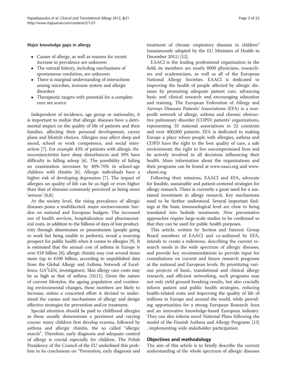#### Major knowledge gaps in allergy

- Causes of allergy, as well as reasons for recent increase in prevalence are unknown
- The natural history, including mechanisms of spontaneous resolution, are unknown
- There is marginal understanding of interactions among microbes, immune system and allergic disorders
- Therapeutic targets with potential for a complete cure are scarce

Independent of incidence, age group or nationality, it is important to realize that allergic diseases have a detrimental impact on the quality of life of patients and their families, affecting their personal development, career plans and lifestyle choices. Allergies may affect sleep and mood, school or work competence, and social interaction [7]. For example 43% of patients with allergic rhinoconjunctivitis have sleep disturbances and 39% have difficulty in falling asleep [6]. The possibility of failing an examination increases by 40%-70% in school-age children with rhinitis [6]. Allergic individuals have a higher risk of developing depression [7]. The impact of allergies on quality of life can be as high or even higher than that of diseases commonly perceived as being more 'serious' [6,8].

At the society level, the rising prevalence of allergic diseases poses a multifaceted, major socioeconomic burden on national and European budgets. The increased use of health services, hospitalization and pharmaceutical costs, in addition to the billions of days of lost productivity through absenteeism or presenteeism (people going to work but being unable to perform), reveal a worrying prospect for public health when it comes to allergies [9]. It is estimated that the annual cost of asthma in Europe is over €18 billion [8]; allergic rhinitis may cost several times more (up to €100 billion, according to unpublished data from the Global Allergy and Asthma Network of Excellence, GA<sup>2</sup>LEN, investigators). Skin allergy care costs may be as high as that of asthma [10,11]. Given the nature of current lifestyles, the ageing population and continuing environmental changes, these numbers are likely to increase, unless a concerted effort is devised to understand the causes and mechanisms of allergy and design effective strategies for prevention and/or treatment.

Special attention should be paid to childhood allergies as these usually demonstrate a persistent and varying course: many children first develop eczema, followed by asthma and allergic rhinitis, the so called "allergic march". Therefore, early diagnosis and adequate control of allergy is crucial especially for children. The Polish Presidency of the Council of the EU underlined this problem in its conclusions on "Prevention, early diagnosis and treatment of chronic respiratory diseases in children" (unanimously adopted by the EU Ministers of Health in December 2011) [12].

EAACI is the leading professional organization in the field; its members are nearly 8000 physicians, researchers and academicians, as well as all of the European National Allergy Societies. EAACI is dedicated to improving the health of people affected by allergic diseases by promoting adequate patient care, advancing basic and clinical research and encouraging education and training. The European Federation of Allergy and Airways Diseases Patients' Associations (EFA) is a nonprofit network of allergy, asthma and chronic obstructive pulmonary disorder (COPD) patients' organizations, representing 35 national associations in 22 countries and over 400,000 patients. EFA is dedicated to making Europe a place where people with allergies, asthma and COPD have the right to the best quality of care, a safe environment, the right to live uncompromised lives and be actively involved in all decisions influencing their health. More information about the organizations and their programs can be found at [www.eaaci.org](http://www.eaaci.org) and [www.](http://www.efanet.org) [efanet.org.](http://www.efanet.org)

Following their missions, EAACI and EFA, advocate for feasible, sustainable and patient-centered strategies for allergy research. There is currently a great need for a sustained investment in allergy research. Key mechanisms need to be further understood. Several important findings at the basic immunological level are close to being translated into bedside treatments. New preventative approaches require large-scale studies to be confirmed so that they can be used for public health purposes.

This article, written by Section and Interest Group Board members of EAACI and co-authored by EFA, intends to create a milestone, describing the current research needs in the wide spectrum of allergic diseases, and provide key recommendations to provide input for consultations on current and future research programs at the national and European levels. By prioritizing various projects of basic, translational and clinical allergy research, and efficient networking, such programs may not only yield ground-breaking results, but also crucially inform patient and public health strategies, reducing health-related costs and improving the quality of life of millions in Europe and around the world, while providing opportunities for a strong European Research Area and an innovative knowledge-based European industry. They can also inform novel National Plans following the model of the Finnish Asthma and Allergy Programs [13] , implementing wide stakeholder participation.

#### Objectives and methodology

The aim of this article is to briefly describe the current understanding of the whole spectrum of allergic diseases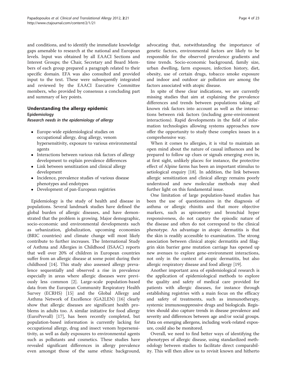and conditions, and to identify the immediate knowledge gaps amenable to research at the national and European levels. Input was obtained by all EAACI Sections and Interest Groups; the Chair, Secretary and Board Members of each group prepared a paragraph related to their specific domain. EFA was also consulted and provided input to the text. These were subsequently integrated and reviewed by the EAACI Executive Committee members, who provided by consensus a concluding part and summary of key points.

## Understanding the allergy epidemic Epidemiology

Research needs in the epidemiology of allergy

- Europe-wide epidemiological studies on occupational allergy, drug allergy, venom hypersensitivity, exposure to various environmental agents
- Interactions between various risk factors of allergy development to explain prevalence differences
- Link between sensitization and clinical allergy development
- Incidence, prevalence studies of various disease phenotypes and endotypes
- Development of pan-European registries

Epidemiology is the study of health and disease in populations. Several landmark studies have defined the global burden of allergic diseases, and have demonstrated that the problem is growing. Major demographic, socio-economic and environmental developments such as urbanization, globalization, upcoming economies (BRIC countries) and climate change will most likely contribute to further increases. The International Study of Asthma and Allergies in Childhood (ISAAC) reports that well over 20% of children in European countries suffer from an allergic disease at some point during their childhood [14]. This study also assessed allergy prevalence sequentially and observed a rise in prevalence especially in areas where allergic diseases were previously less common [2]. Large-scale population-based data from the European Community Respiratory Health Survey (ECRHS) [15] and the Global Allergy and Asthma Network of Excellence (GA2LEN) [16] clearly show that allergic diseases are significant health problems in adults too. A similar initiative for food allergy (EuroPrevall) [17], has been recently completed, but population-based information is currently lacking for occupational allergy, drug and insect venom hypersensitivity, as well as daily exposures to environmental agents such as pollutants and cosmetics. These studies have revealed significant differences in allergy prevalence even amongst those of the same ethnic background, advocating that, notwithstanding the importance of genetic factors, environmental factors are likely to be responsible for the observed prevalence gradients and time trends. Socio-economic background, family size, urban dwelling, farm exposure, infection history, diet, obesity, use of certain drugs, tobacco smoke exposure and indoor and outdoor air pollution are among the factors associated with atopic disease.

In spite of these clear indications, we are currently missing studies that aim at explaining the prevalence differences and trends between populations taking all known risk factors into account as well as the interactions between risk factors (including gene-environment interactions). Rapid developments in the field of information technologies allowing systems approaches now offer the opportunity to study these complex issues in a comprehensive way.

When it comes to allergies, it is vital to maintain an open mind about the nature of causal influences and be prepared to follow up clues or signals emerging even in, at first sight, unlikely places: for instance, the protective effect of Alpine farms has been an important stimulus to aetiological enquiry [18]. In addition, the link between allergic sensitization and clinical allergy remains poorly understood and new molecular methods may shed further light on this fundamental issue.

One limitation of large population-based studies has been the use of questionnaires in the diagnosis of asthma or allergic rhinitis and that more objective markers, such as spirometry and bronchial hyper responsiveness, do not capture the episodic nature of the disease and often do not correspond to the clinical phenotype. An advantage in atopic dermatitis is that the skin is readily accessible to examination. The strong association between clinical atopic dermatitis and filaggrin skin barrier gene mutation carriage has opened up new avenues to explore gene-environment interactions, not only in the context of atopic dermatitis, but also allergic respiratory disease and food allergy [19].

Another important area of epidemiological research is the application of epidemiological methods to explore the quality and safety of medical care provided for patients with allergic diseases, for instance through establishing registries with a main focus on the efficacy and safety of treatments, such as immunotherapy, systemic immunosuppressive drugs and biologicals. Registries should also capture trends in disease prevalence and severity and differences between age and/or social groups. Data on emerging allergens, including work-related exposure, could also be monitored.

Overall, we need to find better ways of identifying the phenotypes of allergic disease, using standardized methodology between studies to facilitate direct comparability. This will then allow us to revisit known and hitherto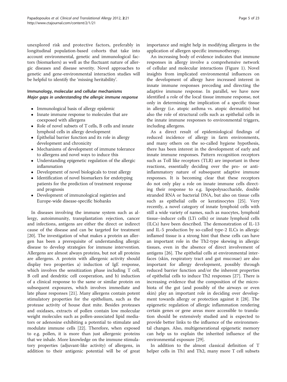unexplored risk and protective factors, preferably in longitudinal population-based cohorts that take into account environmental, genetic and immunological factors (biomarkers) as well as the fluctuant nature of allergic diseases and disease severity. Novel approaches to genetic and gene-environmental interaction studies will be helpful to identify the 'missing heritability'.

## Immunology, molecular and cellular mechanisms Major gaps in understanding the allergic immune response

- Immunological basis of allergy epidemic
- Innate immune response to molecules that are coexposed with allergens
- Role of novel subsets of T cells, B cells and innate lymphoid cells in allergy development
- Epithelial barrier function and its role in allergy development and chronicity
- Mechanisms of development of immune tolerance to allergens and novel ways to induce this
- Understanding epigenetic regulation of the allergic inflammation
- Development of novel biologicals to treat allergy
- Identification of novel biomarkers for endotyping patients for the prediction of treatment response and prognosis
- Development of immunological registries and Europe-wide disease-specific biobanks

In diseases involving the immune system such as allergy, autoimmunity, transplantation rejection, cancer and infections, antigens are either the direct or indirect cause of the disease and can be targeted for treatment [20]. The investigation of what makes a protein an allergen has been a prerequisite of understanding allergic disease to develop strategies for immune intervention. Allergens are almost always proteins, but not all proteins are allergens. A protein with allergenic activity should display two properties a) induction of IgE response, which involves the sensitization phase including T cell, B cell and dendritic cell cooperation, and b) induction of a clinical response to the same or similar protein on subsequent exposures, which involves immediate and late phase responses [21]. Many allergens contain potent stimulatory properties for the epithelium, such as the protease activity of house dust mite. Besides proteases and oxidases, extracts of pollen contain low molecular weight molecules such as pollen-associated lipid mediators or adenosine exhibiting a potential to stimulate and modulate immune cells [22]. Therefore, when exposed to e.g. pollen, it is more than just allergenic proteins that we inhale. More knowledge on the immune stimulatory properties (adjuvant-like activity) of allergens, in addition to their antigenic potential will be of great

importance and might help in modifying allergens in the application of allergen specific immunotherapy.

An increasing body of evidence indicates that immune responses in allergy involve a comprehensive network of cellular and molecular interactions (Figure 1). Novel insights from implicated environmental influences on the development of allergy have increased interest in innate immune responses preceding and directing the adaptive immune response. In parallel, we have now identified a role of the local tissue immune response, not only in determining the implication of a specific tissue in allergy (i.e. atopic asthma vs. atopic dermatitis) but also the role of structural cells such as epithelial cells in the innate immune responses to environmental triggers, including allergens.

As a direct result of epidemiological findings of reduced incidence of allergy in farm environments, and many others on the so-called hygiene hypothesis, there has been interest in the development of early and innate immune responses. Pattern recognition receptors such as Toll like receptors (TLR) are important in these reactions, essentially deciding over the pro- or antiinflammatory nature of subsequent adaptive immune responses. It is becoming clear that these receptors do not only play a role on innate immune cells directing their response to e.g. lipopolysaccharide, double stranded RNA or bacterial DNA, but also on tissue cells such as epithelial cells or keratinocytes [25]. Very recently, a novel category of innate lymphoid cells with still a wide variety of names, such as nuocytes, lymphoid tissue–inducer cells (LTi cells) or innate lymphoid cells (ILCs) have been described. The demonstration of IL-13 and IL-5 production by so-called type-2 ILCs in allergic inflamed tissue is a strong hint that these cells can have an important role in the Th2-type skewing in allergic tissues, even in the absence of direct involvement of antigens [26]. The epithelial cells at environmental interfaces (skin, respiratory tract and gut mucosae) are also important for allergy development, possibly through reduced barrier function and/or the inherent properties of epithelial cells to induce Th2 responses [27]. There is increasing evidence that the composition of the microbiota of the gut (and possibly of the airways or even skin) play an important role in deciding over development towards allergy or protection against it [28]. The epigenetic regulation of allergic inflammation rendering certain genes or gene areas more accessible to translation should be extensively studied and is expected to provide better links to the influence of the environmental changes. Also, multigenerational epigenetic memory can help us to explain the inherited influence of the environmental exposure [29].

In addition to the almost classical definition of T helper cells in Th1 and Th2, many more T cell subsets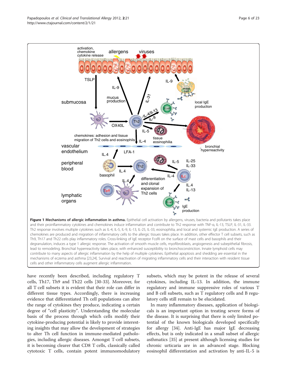

have recently been described, including regulatory T cells, Th17, Th9 and Th22 cells [30-33]. Moreover, for all T cell subsets it is evident that their role can differ in different tissue types. Accordingly, there is increasing evidence that differentiated Th cell populations can alter the range of cytokines they produce, indicating a certain degree of "cell plasticity". Understanding the molecular basis of the process through which cells modify their cytokine-producing potential is likely to provide interesting insights that may allow the development of strategies to alter Th cell function in immune-mediated pathologies, including allergic diseases. Amongst T-cell subsets, it is becoming clearer that CD8 T cells, classically called cytotoxic T cells, contain potent immunomodulatory

subsets, which may be potent in the release of several cytokines, including IL-13. In addition, the immune regulatory and immune suppressive roles of various T and B cell subsets, such as T regulatory cells and B regulatory cells still remain to be elucidated.

In many inflammatory diseases, application of biologicals is an important option in treating severe forms of the disease. It is surprising that there is only limited potential of the known biologicals developed specifically for allergy [34]. Anti-IgE has major IgE decreasing effects, but is only indicated in a small subset of allergic asthmatics [35] at present although licensing studies for chronic urticaria are in an advanced stage. Blocking eosinophil differentiation and activation by anti-IL-5 is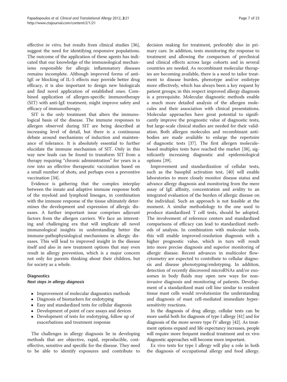effective in vitro, but results from clinical studies [36], suggest the need for identifying responsive populations. The outcome of the application of these agents has indicated that our knowledge of the immunological mechanisms responsible for allergic inflammatory diseases remains incomplete. Although improved forms of anti-IgE or blocking of IL-5 effects may provide better drug efficacy, it is also important to design new biologicals and find novel application of established ones. Combined application of allergen-specific immunotherapy (SIT) with anti-IgE treatment, might improve safety and efficacy of immunotherapy.

SIT is the only treatment that alters the immunological basis of the disease. The immune responses to allergen observed during SIT are being described at increasing level of detail, but there is a continuous debate around mechanisms of induction and maintenance of tolerance. It is absolutely essential to further elucidate the immune mechanism of SIT. Only in this way new leads can be found to transform SIT from a therapy requiring "chronic administration" for years in a row into an effective therapeutic vaccination based on a small number of shots, and perhaps even a preventive vaccination [34].

Evidence is gathering that the complex interplay between the innate and adaptive immune response both of the myeloid and lymphoid lineages, in combination with the immune response of the tissue ultimately determines the development and expression of allergic diseases. A further important issue comprises adjuvant factors from the allergen carriers. We face an interesting and challenging era that will implicate all novel immunological insights in understanding better the immune-pathophysiological mechanisms in allergic diseases. This will lead to improved insight in the disease itself and also in new treatment options that may even result in allergy prevention, which is a major concern not only for parents thinking about their children, but for society as a whole.

## **Diagnostics**

#### Next steps in allergy diagnosis

- Improvement of molecular diagnostics methods
- Diagnosis of biomarkers for endotyping
- Easy and standardized tests for cellular diagnosis
- Development of point of care assays and devices
- Development of tests for endotyping, follow up of exacerbations and treatment response

The challenges in allergy diagnosis lie in developing methods that are objective, rapid, reproducible, costeffective, sensitive and specific for the disease. They need to be able to identify exposures and contribute to decision making for treatment, preferably also in primary care. In addition, tests monitoring the response to treatment and allowing the comparison of preclinical and clinical effects across large cohorts and in several countries are needed. As recombinant molecular therapies are becoming available, there is a need to tailor treatment to disease burden, phenotype and/or endotype more effectively, which has always been a key request by patient groups; in this respect improved allergy diagnosis is a prerequisite. Molecular diagnostic methods enable a much more detailed analysis of the allergen molecules and their association with clinical presentations. Molecular approaches have great potential to significantly improve the prognostic value of diagnostic tests, but large-scale clinical studies are needed for their validation. Both allergen molecules and recombinant antibodies are made available to enlarge the repertoire of diagnostic tests [37]. The first allergen moleculebased multiplex tests have reached the market [38], significantly increasing diagnostic and epidemiological options [39].

Improvement and standardization of cellular tests, such as the basophil activation test, [40] will enable laboratories to more closely monitor disease status and advance allergy diagnosis and monitoring from the mere assay of IgE affinity, concentration and avidity to an integrated evaluation of the burden of allergic disease on the individual. Such an approach is not feasible at the moment. A similar methodology to the one used to produce standardized T cell tests, should be adopted. The involvement of reference centers and standardized comparisons of efficacy can lead to standardized methods of analysis. In combination with molecular tools, this will enable improved-resolution diagnosis with a higher prognostic value, which in turn will result into more precise diagnosis and superior monitoring of allergic disease. Recent advances in multicolor flowcytometry are expected to contribute to cellular diagnosis and disease phenotyping/endotyping. In addition, detection of recently discovered microRNAs and/or exosomes in body fluids may open new ways for noninvasive diagnosis and monitoring of patients. Development of a standardized mast cell line similar to resident tissue mast cells would revolutionize the understanding and diagnosis of mast cell-mediated immediate hypersensitivity reactions.

In the diagnosis of drug allergy, cellular tests can be more useful both for diagnosis of type I allergy [41] and for diagnosis of the more severe type IV allergy [42]. As treatment options expand and life expectancy increases, people will require more frequent medical treatment and ex vivo diagnostic approaches will become more important.

Ex vivo tests for type I allergy will play a role in both the diagnosis of occupational allergy and food allergy.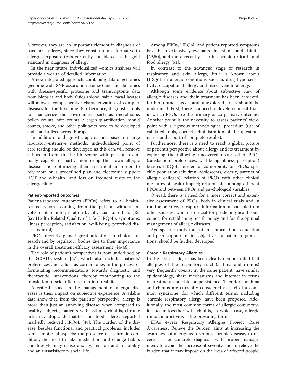Moreover, they are an important element in diagnosis of paediatric allergy, since they constitute an alternative to allergen exposure tests currently considered as the gold standard in diagnosis of allergy.

In the near future, individualized –omics analyses will provide a wealth of detailed information.

A new integrated approach, combining data of genomics (genome-wide SNP association studies) and metabolomics with disease-specific proteome and transcriptome data from biopsies and body fluids (blood, saliva, nasal lavage) will allow a comprehensive characterization of complex diseases for the first time. Furthermore, diagnostic tools to characterize the environment such as microbiome, pollen counts, mite counts, allergen quantification, mould counts, smoke, and other pollutants need to be developed and standardized across Europe.

In addition to diagnostic approaches based on large laboratory-intensive methods, individualized point of care testing should be developed as this can/will remove a burden from the health sector with patients eventually capable of partly monitoring their own allergic disease and optimizing their treatment in order to rely more on a predefined plan and electronic support (ICT and e-health) and less on frequent visits to the allergy clinic.

## Patient-reported outcomes

Patient-reported outcomes (PROs) refers to all healthrelated reports coming from the patient, without involvement or interpretation by physician or others [43] (i.e. Health Related Quality of Life (HRQoL), symptoms, illness perception, satisfaction, well-being, perceived disease control).

PROs recently gained great attention in clinical research and by regulatory bodies due to their importance in the overall treatment efficacy assessment [44-46].

The role of patient's perspectives is now underlined by the GRADE system [47], which also includes patients' preferences and values as cornerstones in the process of formulating recommendations towards diagnostic and therapeutic interventions, thereby contributing to the translation of scientific research into real life.

A critical aspect in the management of allergic diseases is their impact on subjective experience. Available data show that, from the patients' perspective, allergy is more than just an annoying disease: when compared to healthy subjects, patients with asthma, rhinitis, chronic urticaria, atopic dermatitis and food allergy reported markedly reduced HRQoL [48]. The burden of the disease, besides functional and practical problems, includes some emotional aspects: the presence of a chronic condition, the need to take medication and change habits and lifestyle may cause anxiety, tension and irritability and an unsatisfactory social life.

Among PROs, HRQoL and patient-reported symptoms have been extensively evaluated in asthma and rhinitis [49,50], and more recently, also in chronic urticaria and food allergy [51].

In contrast to the advanced stage of research in respiratory and skin allergy, little is known about HRQoL in allergic conditions such as drug hypersensitivity, occupational allergy and insect venom allergy.

Although some evidence about subjective view of allergic diseases and their treatment has been achieved, further unmet needs and unexplored areas should be underlined. First, there is a need to develop clinical trials in which PROs are the primary or co-primary outcome. Another point is the necessity to assess patients' viewpoint with a rigorous methodological procedure (use of validated tools, correct administration of the questionnaires and report of complete results).

Furthermore, there is a need to reach a global picture of patient's perspective about allergy and its treatment by exploring the following uncovered areas: other PROs (satisfaction, preferences, well-being, illness perception) besides HRQoL; burden of comorbidity on PROs; specific population (children, adolescents, elderly, parents of allergic children); relation of PROs with other clinical measures of health impact; relationships among different PROs and between PROs and psychological variables.

Overall, there is a need for a more correct and extensive assessment of PROs, both in clinical trials and in routine practice, to capture information unavailable from other sources, which is crucial for predicting health outcomes, for establishing health policy and for the optimal management of allergic diseases.

Age-specific tools for patient information, education and peer support, major objectives of patient organizations, should be further developed.

## Chronic Respiratory Allergies

In the last decade, it has been clearly demonstrated that allergies of the respiratory tract (asthma and rhinitis) very frequently coexist in the same patient, have similar epidemiology, share mechanisms and interact in terms of treatment and risk for persistence. Therefore, asthma and rhinitis are currently considered as part of a common syndrome, for which different terms, including 'chronic respiratory allergy' have been proposed. Additionally, the most common forms of allergic conjunctivitis occur together with rhinitis, in which case, allergic rhinoconjunctivitis is the prevailing term.

EFA's 4-year Respiratory Allergies Project 'Raise Awareness, Relieve the Burden' aims at increasing the awareness of allergy as a serious chronic disease, to receive earlier concrete diagnosis with proper management, to avoid the increase of severity and to relieve the burden that it may impose on the lives of affected people.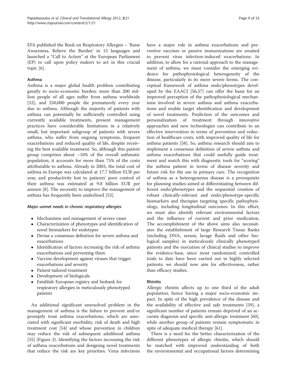EFA published the Book on Respiratory Allergies – 'Raise Awareness, Relieve the Burden' in 15 languages and launched a "Call to Action" at the European Parliament (EP) to call upon policy makers to act in this crucial topic [6].

## Asthma

Asthma is a major global health problem contributing greatly to socio-economic burden: more than 200 million people of all ages suffer from asthma worldwide [52], and 250,000 people die prematurely every year due to asthma. Although the majority of patients with asthma can potentially be sufficiently controlled using currently available treatments, present management practices have considerable limitations in a relatively small, but important subgroup of patients with severe asthma, who suffer from ongoing symptoms, frequent exacerbations and reduced quality of life, despite receiving the best available treatment. So, although this patient group comprises about  $~10\%$  of the overall asthmatic population, it accounts for more than 75% of the costs attributable to asthma. Already in 2003, the total cost of asthma in Europe was calculated at 17.7 billion EUR per year, and productivity lost to patients' poor control of their asthma was estimated at 9.8 billion EUR per annum [8]. The necessity to improve the management of asthma has frequently been underlined [53].

#### Major unmet needs in chronic respiratory allergies

- Mechanisms and management of severe cases
- Characterization of phenotypes and identification of novel biomarkers for endotypes
- Devise a consensus definition for severe asthma and exacerbations
- Identification of factors increasing the risk of asthma exacerbations and preventing them
- Vaccine development against viruses that trigger exacerbations and severity
- Patient-tailored treatment
- Development of biologicals
- Establish European registry and biobank for respiratory allergies in meticulously phenotyped patients

An additional significant unresolved problem in the management of asthma is the failure to prevent and/or promptly treat asthma exacerbations, which are associated with significant morbidity, risk of death and high treatment cost [54] and whose prevention in children may reduce the risk of subsequent adulthood asthma [55] (Figure 2). Identifying the factors increasing the risk of asthma exacerbations and designing novel treatments that reduce the risk are key priorities. Virus infections have a major role in asthma exacerbations and preventive vaccines or passive immunizations are awaited to prevent virus infection-induced exacerbations. In addition, to allow for a rational approach to the management of asthma, we must consider the emerging evidence for pathophysiological heterogeneity of the disease, particularly in its more severe forms. The conceptual framework of asthma endo/phenotypes developed by the EAACI [56,57] can offer the basis for an improved perception of the pathophysiological mechanisms involved in severe asthma and asthma exacerbations and enable target identification and development of novel treatments. Prediction of the outcomes and personalization of treatment through innovative approaches and new technologies can contribute to an effective intervention in terms of prevention and reduction of healthcare costs, with improved quality of life for asthma patients [58]. So, asthma research should aim to implement a consensus definition of severe asthma and asthma exacerbations that could usefully guide treatment and match this with diagnostic tools for "scoring" the asthma patient in terms of disease severity and future risk for the use in primary care. The recognition of asthma as a heterogeneous disease is a prerequisite for planning studies aimed at differentiating between different endo/phenotypes and the sequential creation of robust clinically-relevant and endo/phenotype-specific biomarkers and therapies targeting specific pathophysiology, including longitudinal outcomes. In this effort, we must also identify relevant environmental factors and the influence of current and prior medication. The accomplishment of the above aims also necessitates the establishment of large Research Tissue Banks (including DNA, serum, lavage fluids and other biological samples) in meticulously clinically phenotyped patients and the execution of clinical studies to improve the evidence-base, since most randomized, controlled trials to date have been carried out in highly selected patients; we should now aim for effectiveness, rather than efficacy studies.

#### Rhinitis

Allergic rhinitis affects up to one third of the adult population, hence having a major socio-economic impact. In spite of the high prevalence of the disease and the availability of effective and safe treatments [59], a significant number of patients remain deprived of an accurate diagnosis and specific anti-allergic treatment [60], while another group of patients remain symptomatic in spite of adequate medical therapy [61].

There is a need for the better characterization of the different phenotypes of allergic rhinitis, which should be matched with improved understanding of both the environmental and occupational factors determining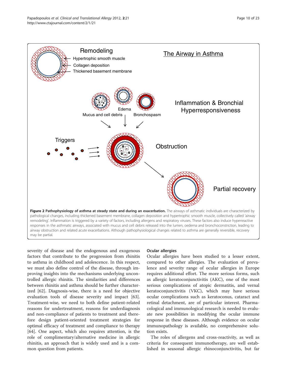

severity of disease and the endogenous and exogenous factors that contribute to the progression from rhinitis to asthma in childhood and adolescence. In this respect, we must also define control of the disease, through improving insights into the mechanisms underlying uncontrolled allergic rhinitis. The similarities and differences between rhinitis and asthma should be further characterized [62]. Diagnosis-wise, there is a need for objective evaluation tools of disease severity and impact [63]. Treatment-wise, we need to both define patient-related reasons for undertreatment, reasons for underdiagnosis and non-compliance of patients to treatment and therefore design patient-oriented treatment strategies for optimal efficacy of treatment and compliance to therapy [64]. One aspect, which also requires attention, is the role of complimentary/alternative medicine in allergic rhinitis, an approach that is widely used and is a common question from patients.

#### Ocular allergies

Ocular allergies have been studied to a lesser extent, compared to other allergies. The evaluation of prevalence and severity range of ocular allergies in Europe requires additional effort. The more serious forms, such as allergic keratoconjunctivitis (AKC), one of the most serious complications of atopic dermatitis, and vernal keratoconjunctivitis (VKC), which may have serious ocular complications such as keratoconus, cataract and retinal detachment, are of particular interest. Pharmacological and immunological research is needed to evaluate new possibilities in modifying the ocular immune response in these diseases. Although evidence on ocular immunopathology is available, no comprehensive solution exists.

The roles of allergens and cross-reactivity, as well as criteria for consequent immunotherapy, are well established in seasonal allergic rhinoconjunctivitis, but far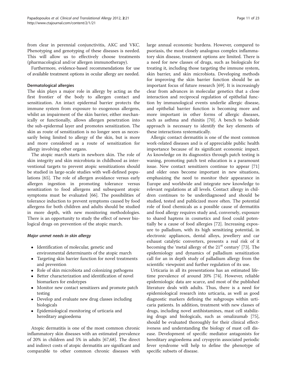from clear in perennial conjunctivitis, AKC and VKC. Phenotyping and genotyping of these diseases is needed. This will allow us to effectively choose treatments (pharmacological and/or allergen immunotherapy).

Furthermore, evidence-based recommendations for use of available treatment options in ocular allergy are needed.

## Dermatological allergies

The skin plays a major role in allergy by acting as the first frontier of the body to allergen contact and sensitization. An intact epidermal barrier protects the immune system from exposure to exogenous allergens, whilst an impairment of the skin barrier, either mechanically or functionally, allows allergen penetration into the sub-epidermal layer and promotes sensitization. The skin as route of sensitization is no longer seen as necessarily being limited to allergy of the skin, but is more and more considered as a route of sensitization for allergy involving other organs.

The atopic march starts in newborn skin. The role of skin integrity and skin microbiota in childhood as interventional targets to prevent atopic sensitizations should be studied in large-scale studies with well-defined populations [65]. The role of allergen avoidance versus early allergen ingestion in promoting tolerance versus sensitization to food allergens and subsequent atopic symptoms must be evaluated [66]. The possibilities of tolerance induction to prevent symptoms caused by food allergens for both children and adults should be studied in more depth, with new monitoring methodologies. There is an opportunity to study the effect of newer biological drugs on prevention of the atopic march.

## Major unmet needs in skin allergy

- Identification of molecular, genetic and environmental determinants of the atopic march
- Targeting skin barrier function for novel treatments and prevention
- Role of skin microbiota and colonizing pathogens
- Better characterization and identification of novel biomarkers for endotypes
- Monitor new contact sensitizers and promote patch testing
- Develop and evaluate new drug classes including biologicals
- Epidemiological monitoring of urticaria and hereditary angioedema

Atopic dermatitis is one of the most common chronic inflammatory skin diseases with an estimated prevalence of 20% in children and 5% in adults [67,68]. The direct and indirect costs of atopic dermatitis are significant and comparable to other common chronic diseases with large annual economic burdens. However, compared to psoriasis, the most closely analogous complex inflammatory skin disease, treatment options are limited. There is a need for new classes of drugs, such as biologicals for treating it, including those targeting the immune system, skin barrier, and skin microbiota. Developing methods for improving the skin barrier function should be an important focus of future research [69]. It is increasingly clear from advances in molecular genetics that a close interaction and reciprocal regulation of epithelial function by immunological events underlie allergic disease, and epithelial barrier function is becoming more and more important in other forms of allergic diseases, such as asthma and rhinitis [70]. A bench to bedside approach is necessary to identify the key elements of these interactions systematically.

Allergic contact dermatitis is one of the most common work-related diseases and is of appreciable public health importance because of its significant economic impact. As knowledge on its diagnostics through patch testing is waning, promoting patch test education is a paramount issue. New contact sensitizers continue to appear [71] and older ones become important in new situations, emphasizing the need to monitor their appearance in Europe and worldwide and integrate new knowledge to relevant regulations at all levels. Contact allergy in children continues to be underdiagnosed and should be studied, tested and publicized more often. The potential role of food chemicals as a possible cause of dermatitis and food allergy requires study and, conversely, exposure to shared haptens in cosmetics and food could potentially be a cause of food allergies [72]. Increasing exposure to palladium, with its high sensitizing potential, in electronic appliances, dental alloys, jewellery and car exhaust catalytic converters, presents a real risk of it becoming the 'metal allergy of the  $21<sup>st</sup>$  century' [73]. The epidemiology and dynamics of palladium sensitization call for an in depth study of palladium allergy from the scientific viewpoint and further regulation of its use.

Urticaria in all its presentations has an estimated lifetime prevalence of around 20% [74]. However, reliable epidemiologic data are scarce, and most of the published literature deals with adults. Thus, there is a need for epidemiological research into urticaria, as well as good diagnostic markers defining the subgroups within urticaria patients. In addition, treatment with new classes of drugs, including novel antihistamines, mast cell stabilizing drugs and biologicals, such as omalizumab [75], should be evaluated thoroughly for their clinical effectiveness and understanding the biology of mast cell disease. Development of specific mediator antagonists for hereditary angioedema and cryopyrin associated periodic fever syndrome will help to define the phenotype of specific subsets of disease.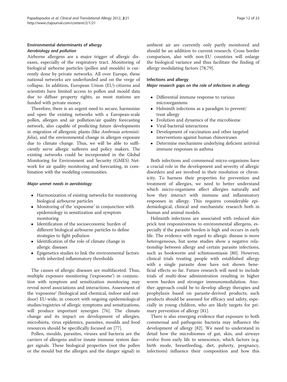## Environmental determinants of allergy Aerobiology and pollution

Airborne allergens are a major trigger of allergic diseases, especially of the respiratory tract. Monitoring of biological airborne particles (pollen and moulds) is currently done by private networks. All over Europe, these national networks are underfunded and on the verge of collapse. In addition, European Union (EU)-citizens and scientists have limited access to pollen and mould data due to diffuse property rights, as most stations are funded with private money.

Therefore, there is an urgent need to secure, harmonize and open the existing networks with a European-scale pollen, allergen and air pollution/air quality forecasting network, also capable of predicting future developments in migration of allergenic plants (like Ambrosia artemisiifolia), and the environmental change in allergen exposure due to climate change. Thus, we will be able to sufficiently serve allergic sufferers and policy makers. The existing networks could be incorporated in the Global Monitoring for Environment and Security (GMES) Network for air quality monitoring and forecasting, in combination with the modeling communities.

## Major unmet needs in aerobiology

- Harmonization of existing networks for monitoring biological airbourne particles
- Monitoring of the 'exposome' in conjunction with epidemiology in sensitization and symptom monitoring
- Identification of the socioeconomic burden of different biological airbourne particles to define strategies to fight pollution
- Identification of the role of climate change in allergic diseases
- Epigenetics studies to link the environmental factors with inherited inflammatory thresholds

The causes of allergic diseases are multifaceted. Thus, multiple exposure monitoring ('exposome') in conjunction with symptom and sensitization monitoring may reveal novel associations and interactions. Assessment of the 'exposome' (biological and chemical, indoor and outdoor) EU-wide, in concert with ongoing epidemiological studies/registries of allergic symptoms and sensitizations, will produce important synergies [76]. The climate change and its impact on development of allergies, microbiota, virus epidemics, parasites, moulds and food resources should be specifically focused on [77].

Pollen, moulds, parasites, viruses and bacteria are the carriers of allergens and/or innate immune system danger signals. These biological properties (not the pollen or the mould but the allergen and the danger signal) in comparison, also with non-EU countries will enlarge the biological variance and thus facilitate the finding of allergy modulating factors [78,79].

## Infections and allergy

#### Major research gaps on the role of infections in allergy

- Differential immune response to various microorganisms
- Helminth infections as a paradigm to prevent/ treat allergy
- Evolution and dynamics of the microbiome
- Viral-bacterial interactions
- Development of vaccination and other targeted interventions against human rhinoviruses
- Determine mechanisms underlying deficient antiviral immune responses in asthma

Both infections and commensal micro-organisms have a crucial role in the development and severity of allergic disorders and are involved in their resolution or chronicity. To harness their properties for prevention and treatment of allergies, we need to better understand which micro-organisms affect allergies naturally and how they interact with immune and inflammatory responses in allergy. This requires considerable epidemiological, clinical and mechanistic research both in human and animal models.

Helminth infections are associated with reduced skin prick test responsiveness to environmental allergens, especially if the parasite burden is high and occurs in early life. The evidence with regard to allergic disease is more heterogeneous, but some studies show a negative relationship between allergy and certain parasite infections, such as hookworm and schistosomiasis [80]. However, clinical trials treating people with established allergy with a single parasite dose have not shown beneficial effects so far. Future research will need to include trials of multi-dose administration resulting in higher worm burden and stronger immunomodulation. Another approach could be to develop allergy therapies and prophylaxis based on parasite-derived products; such products should be assessed for efficacy and safety, especially in young children, who are likely targets for primary prevention of allergy [81].

There is also emerging evidence that exposure to both commensal and pathogenic bacteria may influence the development of allergy [82]. We need to understand in detail how the microbiomes of gut, skin, and airways evolve from early life to senescence, which factors (e.g. birth mode, breastfeeding, diet, puberty, pregnancy, infections) influence their composition and how this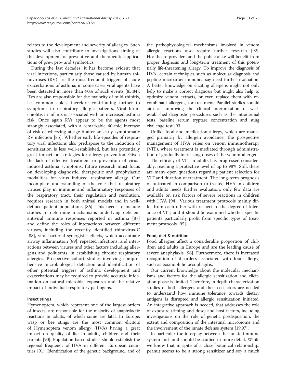relates to the development and severity of allergies. Such studies will also contribute to investigations aiming at the development of preventive and therapeutic applications of pre-, pro- and symbiotics.

During the last decades, it has become evident that viral infections, particularly those caused by human rhinoviruses (RV) are the most frequent triggers of acute exacerbations of asthma; in some cases viral agents have been detected in more than 90% of such events [83,84]. RVs are also responsible for the majority of mild rhinitis, i.e. common colds, therefore contributing further to symptoms in respiratory allergic patients. Viral bronchiolitis in infants is associated with an increased asthma risk. Once again RVs appear to be the agents most strongly associated, with a remarkable 40-fold increase of risk of wheezing at age 6 after an early symptomatic RV infection [85]. Whether early life episodes of respiratory viral infections also predispose to the induction of sensitization is less well-established, but has potentially great impact on strategies for allergy prevention. Given the lack of effective treatment or prevention of virusinduced asthma symptoms, future research must focus on developing diagnostic, therapeutic and prophylactic modalities for virus induced respiratory allergy. Our incomplete understanding of the role that respiratory viruses play in immune and inflammatory responses of the respiratory tract, their regulation and resolution, requires research in both animal models and in welldefined patient populations [86]. This needs to include studies to determine mechanisms underlying deficient antiviral immune responses reported in asthma [87] and define the roles of interactions between different viruses, including the recently identified rhinovirus-C [88], viral-bacterial synergistic effects, which accentuate airway inflammation [89], repeated infections, and interactions between viruses and other factors including allergens and pollutants, in establishing chronic respiratory allergies. Prospective cohort studies involving comprehensive microbiological detection and identification of other potential triggers of asthma development and exacerbations may be required to provide accurate information on natural microbial exposures and the relative impact of individual respiratory pathogens.

## Insect stings

Hymenoptera, which represent one of the largest orders of insects, are responsible for the majority of anaphylactic reactions in adults, of which some are fatal. In Europe, wasp or bee stings are the most common elicitors of Hymenoptera venom allergy (HVA) having a great impact on quality of life in adults, children and their parents [90]. Population-based studies should establish the regional frequency of HVA in different European countries [91]. Identification of the genetic background, and of the pathophysiological mechanisms involved in venom allergic reactions also require further research [92]. Healthcare providers and the public alike will benefit from proper diagnosis and long-term treatment of this potentially life-threatening allergy. To improve the diagnosis of HVA, certain techniques such as molecular diagnosis and peptide microarray immunoassay need further evaluation. A better knowledge on eliciting allergens might not only help to make a correct diagnosis but might also help to optimize venom extracts, or even replace them with recombinant allergens, for treatment. Parallel studies should aim at improving the clinical interpretation of wellestablished diagnostic procedures such as the intradermal tests, baseline serum tryptase concentration and sting challenge test [93].

Unlike food and medication allergy, which are managed primarily by allergen avoidance, the prospective management of HVA relies on venom immunotherapy (VIT), where treatment is mediated through administration of gradually increasing doses of the venom-allergen.

The efficacy of VIT in adults has progressed considerably, reaching a protective level of up to 98%. Still, there are many open questions regarding patient selection for VIT and duration of treatment. The long-term prognosis of untreated in comparison to treated HVA in children and adults needs further evaluation; only few data are available on risk factors of severe reactions in children with HVA [94]. Various treatment protocols mainly differ from each other with respect to the degree of tolerance of VIT, and it should be examined whether specific patients particularly profit from specific types of treatment protocols [95].

#### Food, diet & nutrition

Food allergies affect a considerable proportion of children and adults in Europe and are the leading cause of severe anaphylaxis [96]. Furthermore, there is increased recognition of disorders associated with food allergy, such as eosinophilic oesophagitis.

Our current knowledge about the molecular mechanisms and factors for the allergic sensitization and elicitation phase is limited. Therefore, in depth characterization studies of both allergens and their co-factors are needed to understand how immune tolerance towards dietary antigens is disrupted and allergic sensitization initiated. An integrative approach is needed, that addresses the role of exposure (timing and dose) and host factors, including investigations on the role of genetic predisposition, the extent and composition of the intestinal microbiome and the involvement of the innate defense system [19,97].

In particular the interplay between the innate immune system and food should be studied in more detail. While we know that in spite of a close botanical relationship, peanut seems to be a strong sensitizer and soy a much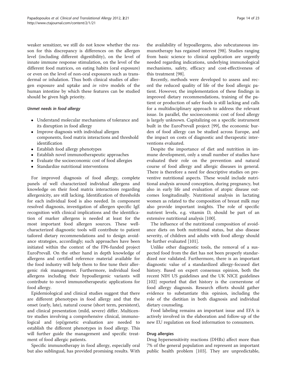weaker sensitizer, we still do not know whether the reason for this discrepancy is differences on the allergen level (including different digestibility), on the level of innate immune response stimulation, on the level of the different food matrices, on eating habits (oral exposure) or even on the level of non-oral exposures such as transdermal or inhalation. Thus both clinical studies of allergen exposure and uptake and in vitro models of the human intestine by which these features can be studied should be given high priority.

## Unmet needs in food allergy

- Understand molecular mechanisms of tolerance and its disruption in food allergy
- Improve diagnosis with individual allergen components, food matrix interactions and threshold identification
- Establish food allergy phenotypes
- Establish novel immunotherapeutic approaches
- Evaluate the socioeconomic cost of food allergies
- Standardize nutritional interventions

For improved diagnosis of food allergy, complete panels of well characterized individual allergens and knowledge on their food matrix interactions regarding allergenicity, are still lacking. Identification of thresholds for each individual food is also needed. In component resolved diagnosis, investigation of allergen specific IgE recognition with clinical implications and the identification of marker allergens is needed at least for the most important food allergen sources. These wellcharacterized diagnostic tools will contribute to patient tailored dietary recommendations and to design avoidance strategies, accordingly; such approaches have been initiated within the context of the FP6-funded project EuroPrevall. On the other hand in depth knowledge of allergens and certified reference material available for the food industry will help them to fine tune their allergenic risk management. Furthermore, individual food allergens including their hypoallergenic variants will contribute to novel immunotherapeutic applications for food allergy.

Epidemiological and clinical studies suggest that there are different phenotypes in food allergy and that the onset (early, late), natural course (short term, persistent), and clinical presentation (mild, severe) differ. Multicentre studies involving a comprehensive clinical, immunological and (epi)genetic evaluation are needed to establish the different phenotypes in food allergy. This will further guide the management and specific treatment of food allergic patients.

Specific immunotherapy in food allergy, especially oral but also sublingual, has provided promising results. With

the availability of hypoallergens, also subcutaneous immunotherapy has regained interest [98]. Studies ranging from basic science to clinical application are urgently needed regarding indications, underlying immunological mechanisms, safety, efficacy and cost-effectiveness of this treatment [98].

Recently, methods were developed to assess and record the reduced quality of life of the food allergic patient. However, the implementation of these findings in improved dietary recommendations, training of the patient or production of safer foods is still lacking and calls for a multidisciplinary approach to address the relevant issue. In parallel, the socioeconomic cost of food allergy is largely unknown. Capitalizing on a specific instrument built in the EuroPrevall project [99], the economic burden of food allergy can be studied across Europe, and the impact on costs of diagnostic and therapeutic interventions evaluated.

Despite the importance of diet and nutrition in immune development, only a small number of studies have evaluated their role on the prevention and natural course of food allergy and allergic diseases in general. There is therefore a need for descriptive studies on preventive nutritional aspects. These would include nutritional analysis around conception, during pregnancy, but also in early life and evaluation of atopic disease outcomes longitudinally. Nutritional analysis in lactating women as related to the composition of breast milk may also provide important insights. The role of specific nutrient levels, e.g. vitamin D, should be part of an extensive nutritional analysis [100].

The influence of the nutritional composition of avoidance diets on both nutritional status, but also disease severity, of children and adults with food allergy should be further evaluated [101].

Unlike other diagnostic tools, the removal of a suspected food from the diet has not been properly standardized nor validated. Furthermore, there is an important diagnostic value of a standardized allergy-focused diet history. Based on expert consensus opinion, both the recent NIH US guidelines and the UK NICE guidelines [102] reported that diet history is the cornerstone of food allergy diagnosis. Research efforts should gather evidence to substantiate this opinion, including the role of the dietitian in both diagnosis and individual dietary counseling.

Food labeling remains an important issue and EFA is actively involved in the elaboration and follow-up of the new EU regulation on food information to consumers.

#### Drug allergies

Drug hypersensitivity reactions (DHRs) affect more than 7% of the general population and represent an important public health problem [103]. They are unpredictable,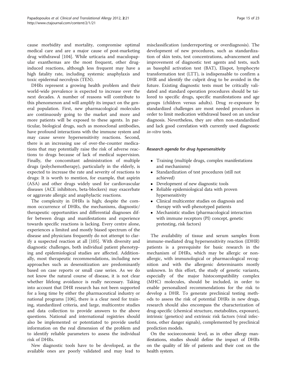cause morbidity and mortality, compromise optimal medical care and are a major cause of post-marketing drug withdrawal [104]. While urticaria and maculopapular exanthemas are the most frequent, other druginduced reactions, although less frequent may have a high fatality rate, including systemic anaphylaxis and toxic epidermal necrolysis (TEN).

DHRs represent a growing health problem and their world-wide prevalence is expected to increase over the next decades. A number of reasons will contribute to this phenomenon and will amplify its impact on the general population. First, new pharmacological molecules are continuously going to the market and more and more patients will be exposed to these agents. In particular, biological drugs, such as monoclonal antibodies, have profound interactions with the immune system and may cause severe hypersensitivity reactions. Second, there is an increasing use of over-the-counter medications that may potentially raise the risk of adverse reactions to drugs because of lack of medical supervision. Finally, the concomitant administration of multiple drugs (polychemotherapy), particularly in the elderly, is expected to increase the rate and severity of reactions to drugs: It is worth to mention, for example, that aspirin (ASA) and other drugs widely used for cardiovascular diseases (ACE inhibitors, beta-blockers) may exacerbate or aggravate allergic and anaphylactic reactions.

The complexity in DHRs is high; despite the common occurrence of DHRs, the mechanisms, diagnostic/ therapeutic opportunities and differential diagnoses differ between drugs and manifestations and experience towards specific reactions is lacking. Every centre alone, experiences a limited and mostly biased spectrum of the disease and physicians frequently do not attempt to clarify a suspected reaction at all [105]. With diversity and diagnostic challenges, both individual patient phenotyping and epidemiological studies are affected. Additionally, most therapeutic recommendations, including new approaches such as desensitization are predominantly based on case reports or small case series. As we do not know the natural course of disease, it is not clear whether lifelong avoidance is really necessary. Taking into account that DHR research has not been supported for a long time by either the pharmaceutical industry or national programs [106], there is a clear need for training, standardized criteria, and large, multicentre studies and data collection to provide answers to the above questions. National and international registries should also be implemented or potentiated to provide useful information on the real dimension of the problem and to identify reliable parameters to assess the individual risk of DHRs.

New diagnostic tools have to be developed, as the available ones are poorly validated and may lead to

misclassification (underreporting or overdiagnosis). The development of new procedures, such as standardization of skin tests, test concentrations, advancement and improvement of diagnostic test agents and tests, such as basophil activation test (BAT), Elispot, lymphocyte transformation test (LTT), is indispensable to confirm a DHR and identify the culprit drug to be avoided in the future. Existing diagnostic tests must be critically validated and standard operation procedures should be tailored to specific drugs, specific manifestations and age groups (children versus adults). Drug re-exposure by standardized challenges are most needed procedures in order to limit medication withdrawal based on an unclear diagnosis. Nevertheless, they are often non-standardized and lack good correlation with currently used diagnostic in-vitro tests.

## Research agenda for drug hypersensitivity

- Training (multiple drugs, complex manifestations and mechanisms)
- Standardization of test procedures (still not achieved)
- Development of new diagnostic tools
- Reliable epidemiological data with proven hypersensitivity
- Clinical multicenter studies on diagnosis and therapy with well-phenotyped patients
- Mechanistic studies (pharmacological interaction with immune receptors (PI) concept, genetic pretesting, risk factors)

The availability of tissue and serum samples from immune-mediated drug hypersensitivity reaction (IDHR) patients is a prerequisite for basic research in the mechanism of DHRs, which may be allergic or nonallergic, with immunological or pharmacological recognition and with the allergenic determinants mostly unknown. In this effort, the study of genetic variants, especially of the major histocompatibility complex (MHC) molecules, should be included, in order to enable personalized recommendations for the risk to develop a DHR. To generate preclinical testing methods to assess the risk of potential DHRs in new drugs, research should also encompass the characterization of drug-specific (chemical structure, metabolites, exposure), intrinsic (genetics) and extrinsic risk factors (viral infections, other danger signals), complemented by preclinical prediction models.

On the socioeconomic level, as in other allergy manifestations, studies should define the impact of DHRs on the quality of life of patients and their cost on the health system.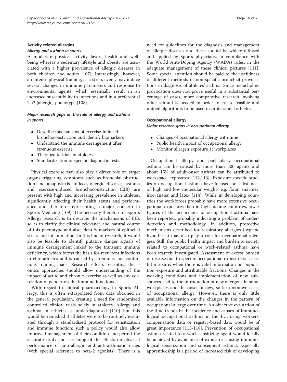## Activity-related allergies

## Allergy and asthma in sports

A moderate physical activity favors health and wellbeing whereas a sedentary lifestyle and obesity are associated with a higher prevalence of allergic diseases in both children and adults [107]. Interestingly, however, an intense physical training, as a stress event, may induce several changes in immune parameters and response to environmental agents, which essentially result in an increased susceptibility to infections and in a preferential Th2 (allergic) phenotype [108].

## Major research gaps on the role of allergy and asthma in sports

- Describe mechanisms of exercise-induced bronchoconstriction and identify biomarkers
- Understand the immune derangement after strenuous exercise
- Therapeutic trials in athletes
- Standardization of specific diagnostic tests

Physical exercise may also play a direct role on target organs triggering symptoms such as bronchial obstruction and anaphylaxis. Indeed, allergic diseases, asthma and exercise-induced bronchoconstriction (EIB) are present with high and increasing prevalence in athletes, significantly affecting their health status and performance and therefore representing a major concern in Sports Medicine [109]. The necessity therefore in Sports Allergy research is to describe the mechanisms of EIB, so as to clarify the clinical relevance and natural course of this phenotype and also identify markers of epithelial stress and inflammation. In this line of research, it would also be feasible to identify putative danger signals of immune derangement linked to the transient immune deficiency, which forms the basis for recurrent infections in elite athletes and is caused by strenuous and continuous training loads. Research efforts recruiting the – omics approaches should allow understanding of the impact of acute and chronic exercise as well as any correlation of gender on the immune functions.

With regard to clinical pharmacology in Sports Allergy, this is often extrapolated from data obtained in the general population, creating a need for randomized controlled clinical trials solely in athletes. Allergy and asthma in athletes is underdiagnosed [110] but this would be remedied if athletes were to be routinely evaluated through a standardized protocol for sensitization and immune function; such a policy would also allow improved management of their condition and permit the accurate study and screening of the effects on physical performance of anti-allergic and anti-asthmatic drugs (with special reference to beta-2 agonists). There is a need for guidelines for the diagnosis and management of allergic diseases and these should be widely diffused and applied by Sports physicians, in compliance with the World Anti-Doping Agency (WADA) rules, in the adequate management of these clinical pictures [111]. Some special attention should be paid to the usefulness of different methods of non-specific bronchial provocations in diagnosis of athletes' asthma. Since metacholine provocation does not prove useful in a substantial percentage of cases, more comparative research involving other stimuli is needed in order to create feasible and unified algorithms to be used in professional athletes.

## Occupational allergy Major research gaps in occupational allergy

- Changes of occupational allergy with time
- Public health impact of occupational allergy
- Monitor allergen exposure at workplaces

Occupational allergy and particularly occupational asthma can be caused by more than 300 agents and about 15% of adult-onset asthma can be attributed to workspace exposures [112,113]. Exposure-specific studies on occupational asthma have focused on substances of high and low molecular weight- e.g. flour, enzymes, isocyanates and latex [114]. While in developing countries the workforces probably have more extensive occupational exposures than in high-income countries, lower figures of the occurrence of occupational asthma have been reported, probably indicating a problem of underdetection and methodology. In addition, protective mechanisms described for respiratory allergies (hygiene hypothesis) may also play a role for occupational allergies. Still, the public health impact and burden to society related to occupational or work-related asthma have been scarcely investigated. Assessment of excess burden of disease due to specific occupational exposure is a useful measure, when there is valid information on population exposure and attributable fractions. Changes in the working conditions and implementation of new substances lead to the introduction of new allergens in some workplaces and the onset of new, so far unknown cases of occupational allergy. However, there is only little available information on the changes in the pattern of occupational allergy over time. An objective evaluation of the time trends in the incidence and causes of immunological occupational asthma in the EU, using workers' compensation data or registry-based data would be of great importance [115-118]. Prevention of occupational asthma related to a work-sensitizing agent would ideally be achieved by avoidance of exposure causing immunological sensitization and subsequent asthma. Especially apprenticeship is a period of increased risk of developing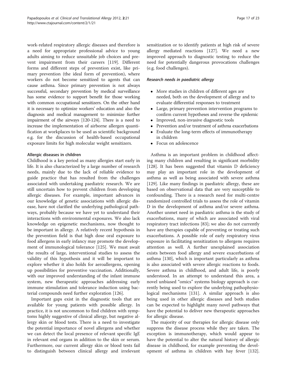work-related respiratory allergic diseases and therefore is a need for appropriate professional advice to young adults aiming to reduce unsuitable job choices and prevent impairment from their careers [119]. Different forms and different steps of prevention exist, like primary prevention (the ideal form of prevention), where workers do not become sensitized to agents that can cause asthma. Since primary prevention is not always successful, secondary prevention by medical surveillance has some evidence to support benefit for those working with common occupational sensitizers. On the other hand it is necessary to optimize workers' education and also the diagnosis and medical management to minimize further impairment of the airways [120-124]. There is a need to increase the implementation of airborne allergen quantification at workplaces to be used as scientific background e.g. for the discussion of health-based occupational exposure limits for high molecular weight sensitizers.

## Allergic diseases in children

Childhood is a key period as many allergies start early in life. It is also characterized by a large number of research needs, mainly due to the lack of reliable evidence to guide practice that has resulted from the challenges associated with undertaking paediatric research. We are still uncertain how to prevent children from developing allergic diseases. For example, important advances in our knowledge of genetic associations with allergic disease, have not clarified the underlying pathological pathways, probably because we have yet to understand their interactions with environmental exposures. We also lack knowledge on epigenetic mechanisms, now thought to be important in allergy. A relatively recent hypothesis in the prevention field is that high dose oral exposure to food allergens in early infancy may promote the development of immunological tolerance [125]. We must await the results of large, interventional studies to assess the validity of this hypothesis and it will be important to explore whether it also holds for aeroallergens, opening up possibilities for preventive vaccination. Additionally, with our improved understanding of the infant immune system, new therapeutic approaches addressing early immune stimulation and tolerance induction using bacterial compounds need further exploration [126].

Important gaps exist in the diagnostic tools that are available for young patients with possible allergy. In practice, it is not uncommon to find children with symptoms highly suggestive of clinical allergy, but negative allergy skin or blood tests. There is a need to investigate the potential importance of novel allergens and whether we can detect the local presence of relevant specific IgE in relevant end organs in addition to the skin or serum. Furthermore, our current allergy skin or blood tests fail to distinguish between clinical allergy and irrelevant

sensitization or to identify patients at high risk of severe allergy mediated reactions [127]. We need a new improved approach to diagnostic testing to reduce the need for potentially dangerous provocations challenges (e.g. food challenges).

## Research needs in paediatric allergy

- More studies in children of different ages are needed, both on the development of allergy and to evaluate differential responses to treatment
- Large, primary prevention intervention programs to confirm current hypotheses and reverse the epidemic
- Improved, non-invasive diagnostic tools
- Prevention and/or treatment of asthma exacerbations
- Evaluate the long-term effects of immunotherapy in children
- Focus on adolescence

Asthma is an important problem in childhood affecting many children and resulting in significant morbidity [128]. It has been suggested that vitamin D deficiency may play an important role in the development of asthma as well as being associated with severe asthma [129]. Like many findings in paediatric allergy, these are based on observational data that are very susceptible to confounding. There is a research need for multi-centre randomized controlled trials to assess the role of vitamin D in the development of asthma and/or severe asthma. Another unmet need in paediatric asthma is the study of exacerbations, many of which are associated with viral respiratory tract infections [83]; we also do not currently have any therapies capable of preventing or treating such exacerbations. A possible role of early respiratory virus exposure in facilitating sensitization to allergens requires attention as well. A further unexplained association exists between food allergy and severe exacerbations of asthma [130], which is important particularly as asthma is also associated with severe allergic reactions to foods. Severe asthma in childhood, and adult life, is poorly understood. In an attempt to understand this area, a novel unbiased "omics" systems biology approach is currently being used to explore the underlying pathophysiological mechanisms [131]. A similar approach is also being used in other allergic diseases and both studies can be expected to highlight many novel pathways that have the potential to deliver new therapeutic approaches for allergic disease.

The majority of our therapies for allergic disease only suppress the disease process while they are taken. The exception is immunotherapy, which would appear to have the potential to alter the natural history of allergic disease in childhood, for example preventing the development of asthma in children with hay fever [132].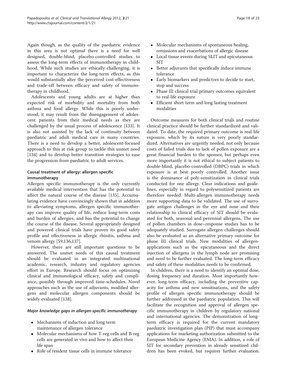Again though, as the quality of the paediatric evidence in this area is not optimal there is a need for well designed, double-blind, placebo-controlled studies to assess the long-term effects of immunotherapy in childhood. While such studies are ethically challenging, it is important to characterize the long-term effects, as this would substantially alter the perceived cost-effectiveness and trade-off between efficacy and safety of immunotherapy in childhood.

Adolescents and young adults are at higher than expected risk of morbidity and mortality from both asthma and food allergy. While this is poorly understood, it may result from the disengagement of adolescent patients from their medical needs as they are challenged by the usual process of adolescence [133]. It is also not assisted by the lack of continuity between paediatric and adult medical care in many countries. There is a need to develop a better, adolescent-focused approach to this at risk group to tackle this unmet need [134] and to develop better transition strategies to ease the progression from paediatric to adult services.

## Causal treatment of allergy: allergen specific immunotherapy

Allergen specific immunotherapy is the only currently available medical intervention that has the potential to affect the natural course of the disease [135]. Accumulating evidence have convincingly shown that in addition to alleviating symptoms, allergen specific immunotherapy can improve quality of life, reduce long-term costs and burden of allergies, and has the potential to change the course of the disease. Several appropriately designed and powered clinical trials have proven its good safety profile and effectiveness in allergic rhinitis, asthma and venom allergy [59,136,137].

However, there are still important questions to be answered. The unmet needs of this causal treatment should be evaluated in an integrated multinational academic, research, industry and regulatory agencies effort in Europe. Research should focus on optimizing clinical and immunological efficacy, safety and compliance, possibly through improved time-schedules. Novel approaches such as the use of adjuvants, modified allergens and molecular allergen components should be widely evaluated [138].

## Major knowledge gaps in allergen-specific immunotherapy

- Mechanisms of induction and long term maintenance of allergen tolerance
- Molecular mechanisms of how T-reg cells and B-reg cells are generated in vivo and how to affect their life span
- Role of resident tissue cells in immune tolerance
- Molecular mechanisms of spontaneous healing, remissions and exacerbations of allergic disease
- Local tissue events during SLIT and epicutaneous SIT
- Better adjuvants that specifically induce immune tolerance
- Early biomarkers and predictors to decide to start, stop and success
- Phase III clinical trial primary outcomes equivalent to real-life exposure
- Efficient short term and long lasting treatment modalities

Outcome measures for both clinical trials and routine clinical practice should be further standardized and validated. To date, the required primary outcome is real-life exposure, which by its nature is very poorly standardized. Alternatives are urgently needed, not only because costs of failed trials due to lack of pollen exposure are a great financial burden to the sponsor, but perhaps even more importantly it is not ethical to subject patients to double-blind, placebo-controlled (DBPC) trials in which exposure is at best poorly controlled. Another issue is the dominance of poly-sensitization in clinical trials conducted for one allergy. Clear indications and guidelines, especially in regard to polysensitized patients are therefore needed. Multi-allergen immunotherapy needs more supporting data to be validated. The use of surrogate antigen challenges in the eye and nose and their relationship to clinical efficacy of SIT should be evaluated for both, seasonal and perennial allergens. The use of pollen chambers in dose–response studies has to be adequately studied. Surrogate allergen challenges should also be evaluated as an alternative primary outcome for phase III clinical trials. New modalities of allergenapplications such as the epicutaneous and the direct injection of allergens in the lymph node are promising and need to be further evaluated. The long-term efficacy and safety of these modalities needs to be confirmed.

In children, there is a need to identify an optimal dose, dosing frequency and duration. Most importantly however, long-term efficacy, including the preventive capacity for asthma and new sensitisations, and the safety profile of allergen specific immunotherapy should be further addressed in the paediatric population. This will facilitate the recognition and approval of allergen specific immunotherapy in children by regulatory national and international agencies. The demonstration of longterm efficacy is required for the current mandatory paediatric investigation plan (PIP) that must accompany applications for marketing authorization submitted to the European Medicine Agency (EMA). In addition, a role of SIT for secondary prevention in already sensitized children has been evoked, but requires further evaluation.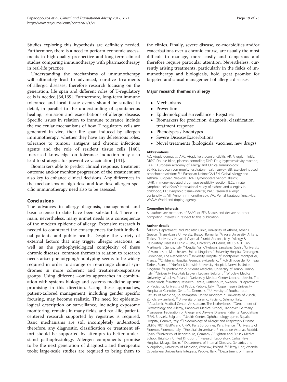Studies exploring this hypothesis are definitely needed. Furthermore, there is a need to perform economic assessments in high-quality prospective and long-term clinical studies comparing immunotherapy with pharmacotherapy in real-life practice.

Understanding the mechanisms of immunotherapy will ultimately lead to advanced, curative treatments of allergic diseases, therefore research focusing on the generation, life span and different roles of T-regulatory cells is needed [34,139]. Furthermore, long-term immune tolerance and local tissue events should be studied in detail, in parallel to the understanding of spontaneous healing, remission and exacerbations of allergic disease. Specific issues in relation to immune tolerance include the molecular mechanisms of how T regulatory cells are generated in vivo, their life span induced by allergen immunotherapy, whether they have any deleterious roles, tolerance to tumour antigens and chronic infectious agents and the role of resident tissue cells [140]. Increased knowledge on tolerance induction may also lead to strategies for preventive vaccination [141].

Biomarkers able to predict clinical response, treatment outcome and/or monitor progression of the treatment are also key to enhance clinical decisions. Any differences in the mechanisms of high-dose and low-dose allergen specific immunotherapy need also to be assessed.

## Conclusions

The advances in allergy diagnosis, management and basic science to date have been substantial. There remain, nevertheless, many unmet needs as a consequence of the modern epidemic of allergy. Extensive research is needed to counteract the consequences for both individual patients and public health. Despite the variety of external factors that may trigger allergic reactions, as well as the pathophysiological complexity of these chronic diseases, common themes in relation to research needs arise: phenotyping/endotyping seems to be widely required in order to arrange or re-arrange clinical syndromes in more coherent and treatment-responsive groups. Using different –omics approaches in combination with systems biology and systems medicine appear promising in this direction. Using these approaches, patient-tailored management, including gender specific focusing, may become realistic. The need for epidemiological description or surveillance, including exposome monitoring, remains in many fields, and real-life, patientcentered research supported by registries is required. Basic mechanisms are still incompletely understood, therefore, any diagnostic, classification or treatment effort should be supported by attempts to better understand pathophysiology. Allergen components promise to be the next generation of diagnostic and therapeutic tools; large-scale studies are required to bring them to

the clinics. Finally, severe disease, co-morbidities and/or exacerbations over a chronic course, are usually the most difficult to manage, more costly and dangerous and therefore require particular attention. Nevertheless, currently arising treatments, particularly in the fields of immunotherapy and biologicals, hold great promise for targeted and causal management of allergic diseases.

#### Major research themes in allergy

- Mechanisms
- Prevention
- Epidemiological surveillance Registries
- Biomarkers for prediction, diagnosis, classification, treatment response
- Phenotypes / Endotypes
- Severe Disease/Exacerbations
- Novel treatments (biologicals, vaccines, new drugs)

#### Abbreviations

AD: Atopic dermatitis; AKC: Atopic keratoconjunctivitis; AR: Allergic rhinitis; DBPC: Double-blind, placebo-controlled; DHR: Drug hypersensitivity reaction; EAACI: European Academy of Allergy and Clinical Immunology; ECHRS: European community respiratory health survey; EIB: Exercise-induced bronchoconstriction; EU: European Union; GA<sup>2</sup>LEN: Global Allergy and Asthma European Network; HVA: Hymenoptera venom allergy; IDHR: Immune-mediated drug hypersensitivity reaction; ILCs: Innate lymphoid cells; ISAAC: International study of asthma and allergies in childhood; LTi: Lymphoid tissue–inducer; PAC: Perennial allergic conjunctivitis; VIT: Venom immunotherapy; VKC: Vernal keratoconjunctivitis; WADA: World anti-doping agency.

#### Competing interests

All authors are members of EAACI or EFA Boards and declare no other competing interests in respect to this publication.

#### Author details

<sup>1</sup> Allergy Department, 2nd Pediatric Clinic, University of Athens, Athens, Greece. <sup>2</sup>Transylvania University, Brasov, Romania. <sup>3</sup>Ankara University, Ankara Turkey. <sup>4</sup>University Hospital Ospedali Riuniti, Ancona, Italy. <sup>5</sup>Allergy & Respiratory Diseases Clinic – DIMI, University of Genoa, IRCCS AOU San Martino-IST, Genoa, Italy. <sup>6</sup>Hospital Vall d'Hebron, Barcelona, Spain. <sup>7</sup>University of Manchester, Manchester, United Kingdom. <sup>8</sup>University Hospital Groningen Groningen, The Netherlands. <sup>9</sup>University Hospital of Montpellier, Montpellier France. <sup>10</sup>Children's Hospital, Geneva, Switzerland. <sup>11</sup>Polyclinique de l'Ormeau, Tarbes, France. 12Norfolk & Norwich University Hospital, Norwich, United Kingdom. 13Dipartimento di Scienze Mediche, University of Torino, Torino, Italy. <sup>14</sup>University Hospitals Leuven, Leuven, Belgium. <sup>15</sup>Wroclaw Medical University, Wroclaw, Poland. <sup>16</sup>University Medical Center Utrecht, Utrecht, The Netherlands. <sup>17</sup>Krefting Research Centre, Gothenburg, Sweden. <sup>18</sup>Department of Pediatrics, University of Padua, Padova, Italy. <sup>19</sup>Copenhagen University Hospital at Gentofte, Gentofte, Denmark. <sup>20</sup>University of Southampton Faculty of Medicine, Southampton, United Kingdom. <sup>21</sup> University of Zurich Zurich, Switzerland. <sup>22</sup>University of Salerno, Fisciano, Salerno, Italy.<br><sup>23</sup>Academic Medical Center, Amsterdam, The Netherlands. <sup>24</sup>Department of Dermatology and Allergy, Hannover Medical School, Hannover, Germany. 25European Federation of Allergy and Airways Diseases Patients' Associations (EFA), Brussels, Belgium. <sup>26</sup>Uveitis Center, Ophthamology epmn, Rapallo Hospital, Genova, Italy. <sup>27</sup>Epidemiology of Allergic and Respiratory Disease, UMR-S 707 INSERM and UPMC Paris Sorbonnes, Paris, France. <sup>28</sup>University of Florence, Florence, Italy. <sup>29</sup>Hospital Universitario Príncipe de Asturias, Madrid, Spain. <sup>30</sup>University of Regensburg, Germany / Brighton and Sussex Medical School, Brighton, United Kingdom. <sup>31</sup> Research Laboratory, Carlos Hava Hospital, Malaga, Spain. 32Department of Internal Diseases, Geriatrics and Allergology, University of Medicine, Wroclaw, Poland. <sup>33</sup>Allergy Unit, Azienda Ospedaliera Universitaria Integrata, Padova, Italy. 34Department of Internal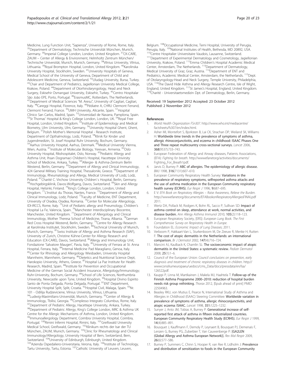Medicine, Lung Function Unit, "Sapienza", University of Rome, Rome, Italy. <sup>35</sup>Department of Dermatology, Technische Universität München, Munich, Germany. <sup>36</sup>Imperial College London, London, United Kingdom. <sup>37</sup>CK-CARE, ZAUM – Center of Allergy & Environment, Helmholtz Zentrum München/ Technische Universität, Munich, Munich, Germany. 38Vilnius University, Vilnius, Lithuania. <sup>39</sup>Royal Brompton Hospital, London, United Kingdom. <sup>40</sup>Karolinska University Hospital, Stockholm, Sweden. 41University Hospitals of Geneva, Medical School of the University of Geneva, Department of Child and Adolescent Medicine, Geneva, Switzerland. <sup>42</sup>Uludag University, Bursa, Turkey.<br><sup>43</sup>Chair and Department of Pediatrics, Jagiellonian University Medical College, Krakow, Poland. 44Department of Otorhinolaryngology, Head and Neck Surgery, Eskisehir Osmangazi University, Eskisehir, Turkey. <sup>45</sup>Centro Hospitalar<br>São João EPE, Porto, Portugal. <sup>46</sup>ErasmusMC, Rotterdam, The Netherlands. <sup>47</sup>Department of Medical Sciences "M. Aresu", University of Cagliari, Cagliari, Italy. <sup>48</sup>Careggi Hospital, Florence, Italy. <sup>49</sup>Pédiatre A, CHRU Clermont Ferrand, Clermont Ferrand, France. <sup>50</sup>UMH University, Alicante, Spain. <sup>51</sup>Hospital<br>Clínico San Carlos, Madrid, Spain. <sup>52</sup>Universidad de Navarra, Pamplona, Spain. <sup>53</sup>St Thomas' Hospital & King's College London, London, UK. <sup>54</sup>Royal Free Hospital, London, United Kingdom. <sup>55</sup>Institute of Epidemiology and Medical Biometry, Ulm University, Ulm, Germany. 56University Hospital Ghent, Ghent, Belgium. 57Polish Mother's Memorial Hospital - Research Institute, Department of Opthalmology, Lodz, Poland. 58Klinik für Kinder und Jugendmedizin, St. Josef Hospital Ruhr University, Bochum, Germany. <sup>59</sup> Aarhus University Hospital, Aarhus, Denmark. <sup>60</sup>Medical University Vienna, Wien, Austria. <sup>61</sup>Institute of Molecular Biology, Yerevan, Armenia. <sup>62</sup>Oslo University Hospital, Rikshospitalet, Oslo, Norway. 63Pediatric Allergy and Asthma Unit, Ihsan Dogramaci Children's Hospital, Hacettepe Univirsity School of Medicine, Ankara, Turkey. 64Allergie- & Asthma-Zentrum Berlin Westend, Berlin, Germany. <sup>65</sup>Department of Allergy and Clinical Immunology, 424 General Military Training Hospital, Thessaloniki, Greece. <sup>66</sup>Department of Immunology, Rheumatology and Allergy, Medical University of Lodz, Lodz, Poland. <sup>67</sup>Charité C. Virchow University Children's Hospital, Berlin, Germany. 68Hochgebirgsklinik, Davos-Wolfgang, Davos, Switzerland. <sup>69</sup>Skin and Allergy Hospital, Helsinki, Finland. 70King's College London, London, United Kingdom. <sup>71</sup>L'Institut du Thorax, Nantes, France. <sup>72</sup>Department of Allergy and Clinical Immunology, Lodz, Poland.<sup>73</sup>Faculty of Medicine, ENT Department, University of Oradea, Oradea, Romania.<sup>74</sup>Center for Molecular Allergology, IDI-IRCCS, Rome, Italy. 75Unit of Pediatric allergy and Pneumology, Children's Hospital La Fe, Valencia, Spain. <sup>76</sup>Manchester Interdisciplinary Biocentre, Manchester, United Kingdom.<sup>77</sup>Department of Allergology and Clinical Immunology, Mother Theresa School of Medicine, Tirana, Albania. <sup>78</sup>German Red Cross Hospital Westend, Berlin, Germany.<sup>79</sup>Centre for Allergy Research at Karolinska Institutet, Stockholm, Sweden. 80Technical University of Munich, Munich, Germany. <sup>81</sup>Swiss Institute of Allergy and Asthma Research (SIAF), University of Zurich, Christine Kühne-Center for Allergy Research and Education (CK-CARE), Davos, Switzerland. <sup>82</sup>Allergy and Immunology Unit, Fondazione 'Salvatore Maugeri', Pavia, Italy. 83University of Ferrara at St. Anna Hospital, Ferrara, Italy. <sup>84</sup>Internal Medicine Pad Maragliano, Genoa, Italy.<br><sup>85</sup>Center for Rhinology and Allergology Wiesbaden, University Hospital Mannheim, Mannheim, Germany. <sup>86</sup>Dietetics and Nutritional Science Dept, Harokopio University, Athens, Greece. <sup>87</sup>Hospital La Paz Institute for Health Research, Madrid, Spain. <sup>88</sup>Institute for Prevention and Occupational Medicine of the German Social Accident Insurance, Allergology/Immunology; Ruhr-University, Bochum, Germany. <sup>89</sup>School of Life Sciences, Northumbria University, Newcastle upon Tyne, United Kingdom. <sup>90</sup>Hospital Divino Espirito Santo de Ponta Delgada, Ponta Delgada, Portugal. <sup>91</sup>ENT Department, University Hospital Split, Split, Croatia. <sup>92</sup>Hospital Civil, Malaga, Spain. <sup>93</sup>Nr. 101 - Odilija Rudzeviciene, Vilnius University, Vilnius, Lithuania. 94Ludwig-Maximilians-Universität, Munich, Germany. <sup>95</sup>Center of Allergy & Immunology, Tbilisi, Georgia. <sup>96</sup>Complesso Integrato Columbus, Rome, Italy.<br><sup>97</sup>Department of Pediatric Allergy, Hacettepe University, Ankara, Turkey. 98Department of Pediatric Allergy, King's College London, MRC & Asthma UK Centre for the Allergic Mechanisms of Asthma, London, United Kingdom. 99Immunoallergology Department, Coimbra University Hospital, Coimbra,

Portugal. <sup>100</sup>Rimini Infermi Hospital, Rimini, Italy. <sup>101</sup>Greifswald University Medical School, Greifswald, Germany. <sup>102</sup>Klinikum rechts der Isar der TU München, ZAUM, Munich, Germany. <sup>103</sup>Clinic for Rheumatology and Clinical Immunology/Allergology, University Hospital of Bern, Switzerland, Bern,<br>Switzerland. <sup>104</sup>University of Edinburgh, Edinburgh, United Kingdom.<br><sup>105</sup>Azienda Ospedaliero-Universitaria, Verona, Italy. <sup>106</sup>Institute of Technol Tartu University, Tartu, Estonia. <sup>107</sup>Catholic University of Leuven, Leuven,

Belgium. <sup>108</sup>Occupational Medicine, Terni Hospital, University of Perugia,<br>Perugia, Italy. <sup>109</sup>National Institutes of Health, Bethesda, MD 20892, USA. <sup>110</sup>Centre Hospitalier Universitaire Vaudois, Lausanne, Switzerland.<br><sup>111</sup>Department of Experimental Dermatology and Cosmetology, Jagiellonian University, Krakow, Poland. 112Emma Children's Hospital Academic Medical Center, Amsterdam, The Netherlands. 113Department of Dermatology, Medical University of Graz, Graz, Austria. 114Department of ENT and Pediatrics, Academic Medical Center, Amsterdam, the Netherlands. <sup>115</sup>Dept. of Otolaryngology-Head and Neck Surgery, Temple University, Philadelphia, USA. <sup>116</sup>The David Hide Asthma and Allergy Research Centre, Isle of Wight, England, United Kingdom. <sup>117</sup>St James's Hospital, England, United Kingdom.<br><sup>118</sup>Charité - Universitaetsmedizin Dpt. of Dermatology, Berlin, Germany.

#### Received: 19 September 2012 Accepted: 23 October 2012 Published: 2 November 2012

#### References

- 1. World Health Organization FSn307. [http://www.who.int/mediacentre/](http://www.who.int/mediacentre/factsheets/fs307/en/index.html) [factsheets/fs307/en/index.html](http://www.who.int/mediacentre/factsheets/fs307/en/index.html).
- 2. Asher MI, Montefort S, Bjorksten B, Lai CK, Strachan DP, Weiland SK, Williams H: Worldwide time trends in the prevalence of symptoms of asthma, allergic rhinoconjunctivitis, and eczema in childhood: ISAAC Phases One and Three repeat multicountry cross-sectional surveys. Lancet 2006, 368(9537):733–743.
- 3. European Federation of Allergy and Airway diseases, Patients Associations, (EFA): Fighting for breath. [http://wwwefanetorg/activities/documents/](http://wwwefanetorg/activities/documents/Fighting_For_Breath1pdf) [Fighting\\_For\\_Breath1pdf.](http://wwwefanetorg/activities/documents/Fighting_For_Breath1pdf)
- 4. Jarvis D, Burney P: ABC of allergies. The epidemiology of allergic disease. BMJ 1998, 316(7131):607–610.
- European Community Respiratory Health Survey: Variations in the prevalence of respiratory symptoms, selfreported asthma attacks and the use of asthma medication in the European Community respiratory health survey (ECRHS). Eur Respir J 1996, 9:687-695.
- 6. E V: EFA Book on Respiratory Allergies Raise Awareness, Relieve the Burden. <http://wwwefanetorg/documents/EFABookonRespiratoryAllergiesFINALpdf> 2011.
- Wertz DA, Pollack M, Rodgers K, Bohn RL, Sacco P, Sullivan SD: Impact of asthma control on sleep, attendance at work, normal activities, and disease burden. Ann Allergy Asthma Immunol 2010, 105(2):118–123.
- 8. European Respiratory Society, [ERS]: European Lung Book. The First Comprehensive Survey on Respiratory Health in Europe.
- 9. Foundation EL: Economic Impact of Lung Diseases; 2011.
- 10. Verboom P, Hakkaart-Van L, Sturkenboom M, De Zeeuw R, Menke H, Rutten F: The cost of atopic dermatitis in the Netherlands: an international comparison. Br J Dermatol 2002, 147(4):716–724.
- 11. Mancini AJ, Kaulback K, Chamlin SL: The socioeconomic impact of atopic dermatitis in the United States: a systematic review. Pediatr Dermatol 2008, 25(1):1–6.
- 12. Council of the European Union: Council conclusions on prevention, early diagnosis and treatment of chronic respiratory diseases in children. [http://](http://wwwconsiliumeuropaeu/uedocs/cms_Data/docs/pressdata/en/lsa/126522pdf) [wwwconsiliumeuropaeu/uedocs/cms\\_Data/docs/pressdata/en/lsa/](http://wwwconsiliumeuropaeu/uedocs/cms_Data/docs/pressdata/en/lsa/126522pdf) [126522pdf.](http://wwwconsiliumeuropaeu/uedocs/cms_Data/docs/pressdata/en/lsa/126522pdf)
- 13. Kauppi P, Linna M, Martikainen J, Makela MJ, Haahtela T: Follow-up of the Finnish Asthma Programme 2000–2010: reduction of hospital burden needs risk group rethinking. Thorax 2012, [Epub ahead of print] PMID 22504963.
- 14. Beasley RKU, von Mutius E, Pearce N, International Study of Asthma and Allergies in Childhood (ISAAC) Steering Committee: Worldwide variation in prevalence of symptoms of asthma, allergic rhinoconjunctivitis, and atopic eczema: ISAAC. Lancet 1998, 351:1225–1232.
- 15. Sunyer J, Anto JM, Tobias A, Burney P: Generational increase of selfreported first attack of asthma in fifteen industrialized countries. European Community Respiratory Health Study (ECRHS). Eur Respir J 1999, 14(4):885–891.
- 16. Bousquet J, Kauffmann F, Demoly P, Leynaert B, Bousquet PJ, Demenais F, Lenzen G, Burney PG, Zuberbier T, Van Cauwenberge P: [GA2LEN (Global Allergy and Asthma European Network)]. Rev Mal Respir 2009, 26(6):577–586.
- 17. Burney P, Summers C, Chinn S, Hooper R, van Ree R, Lidholm J: Prevalence and distribution of sensitization to foods in the European Community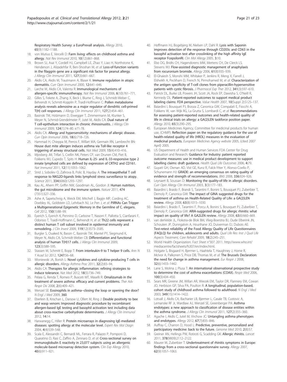Respiratory Health Survey: a EuroPrevall analysis. Allergy 2010, 65(9):1182–1188.

- 18. von Mutius E, Vercelli D: Farm living: effects on childhood asthma and allergy. Nat Rev Immunol 2010, 10(12):861–868.
- 19. Brown SJ, Asai Y, Cordell HJ, Campbell LE, Zhao Y, Liao H, Northstone K, Henderson J, Alizadehfar R, Ben-Shoshan M, et al: Loss-of-function variants in the filaggrin gene are a significant risk factor for peanut allergy. J Allergy Clin Immunol 2011, 127(3):661–667.
- 20. Akdis CA, Akdis M, Trautmann A, Blaser K: Immune regulation in atopic dermatitis. Curr Opin Immunol 2000, 12:641-646.
- 21. Larche M, Akdis CA, Valenta R: Immunological mechanisms of allergen-specific immunotherapy. Nat Rev Immunol 2006, 6(10):761–771.
- 22. Gilles S, Fekete A, Zhang X, Beck I, Blume C, Ring J, Schmidt-Weber C, Behrendt H, Schmitt-Kopplin P, Traidl-Hoffmann C: Pollen metabolome analysis reveals adenosine as a major regulator of dendritic cell-primed T(H) cell responses. J Allergy Clin Immunol 2011, 127(2):454–461.
- 23. Basinski TM, Holzmann D, Eiwegger T, Zimmermann M, Klunker S, Meyer N, Schmid-Grendelmeier P, Jutel M, Akdis CA: Dual nature of T cell-epithelium interaction in chronic rhinosinusitis. J Allergy Clin Immunol 2009, 124(1):74–80. e71-78.
- 24. Akdis CA: Allergy and hypersensitivity: mechanisms of allergic disease. Curr Opin Immunol 2006, 18(6):718–726.
- 25. Hammad H, Chieppa M, Perros F, Willart MA, Germain RN, Lambrecht BN: House dust mite allergen induces asthma via Toll-like receptor 4 triggering of airway structural cells. Nat Med 2009, 15(4):410–416.
- 26. Mjosberg JM, Trifari S, Crellin NK, Peters CP, van Drunen CM, Piet B, Fokkens WJ, Cupedo T, Spits H: Human IL-25- and IL-33-responsive type 2 innate lymphoid cells are defined by expression of CRTH2 and CD161. Nat Immunol 2011, 12(11):1055–1062.
- 27. Strid J, Sobolev O, Zafirova B, Polic B, Hayday A: The intraepithelial T cell response to NKG2D-ligands links lymphoid stress surveillance to atopy. Science 2011, 334(6060):1293–1297.
- 28. Kau AL, Ahern PP, Griffin NW, Goodman AL, Gordon JI: Human nutrition, the gut microbiome and the immune system. Nature 2011, 474 (7351):327–336.
- 29. Ashe A, Sapetschnig A, Weick EM, Mitchell J, Bagijn MP, Cording AC, Doebley AL, Goldstein LD, Lehrbach NJ, Le Pen J, et al: PiRNAs Can Trigger a Multigenerational Epigenetic Memory in the Germline of C. elegans. Cell 2012, 150(1):88–99.
- 30. Eyerich S, Eyerich K, Pennino D, Carbone T, Nasorri F, Pallotta S, Cianfarani F, Odorisio T, Traidl-Hoffmann C, Behrendt H, et al: Th22 cells represent a distinct human T cell subset involved in epidermal immunity and remodeling. J Clin Invest 2009, 119(12):3573–3585.
- 31. Burgler S, Ouaked N, Bassin C, Basinski TM, Mantel PY, Siegmund K, Meyer N, Akdis CA, Schmidt-Weber CB: Differentiation and functional analysis of human T(H)17 cells. J Allergy Clin Immunol 2009, 123(3):588–595.
- 32. Stassen M, Schmitt E, Bopp T: From interleukin-9 to T helper 9 cells. Ann N Y Acad Sci 2012, 1247:56–68.
- 33. Wisniewski JA, Borish L: Novel cytokines and cytokine-producing T cells in allergic disorders. Allergy Asthma Proc 2011, 32(2):83–94.
- 34. Akdis CA: Therapies for allergic inflammation: refining strategies to induce tolerance. Nat Med 2012, 18(5):736–749.
- 35. Pelaia G, Renda T, Romeo P, Busceti MT, Maselli R: Omalizumab in the treatment of severe asthma: efficacy and current problems. Ther Adv Respir Dis 2008, 2(6):409–421.
- 36. Wenzel SE: Eosinophils in asthma--closing the loop or opening the door? N Engl J Med 2009, 360.
- 37. Eberlein B, Krischan L, Darsow U, Ollert M, Ring J: Double positivity to bee and wasp venom: Improved diagnostic procedure by recombinant allergen-based IgE testing and basophil activation test including data about cross-reactive carbohydrate determinants. J Allergy Clin Immunol 2012, 14:14.
- 38. Harwanegg C, Hiller R: Protein microarrays in diagnosing IgE-mediated diseases: spotting allergy at the molecular level. Expert Rev Mol Diagn 2004, 4(4):539–548.
- 39. Scala E, Alessandri C, Bernardi ML, Ferrara R, Palazzo P, Pomponi D, Quaratino D, Rasi C, Zaffiro A, Zennaro D, et al: Cross-sectional survey on immunoglobulin E reactivity in 23,077 subjects using an allergenic molecule-based microarray detection system. Clin Exp Allergy 2010, 40(6):911–921.
- 40. Hoffmann HJ, Bogebjerg M, Nielsen LP, Dahl R: Lysis with Saponin improves detection of the response through CD203c and CD63 in the basophil activation test after crosslinking of the high affinity IgE receptor FcepsilonRI. Clin Mol Allergy 2005, 3:10.
- 41. Ebo DG, Bridts CH, Hagendorens MM, Mertens CH, De Clerck LS, Stevens WJ: Flow-assisted diagnostic management of anaphylaxis from rocuronium bromide. Allergy 2006, 61(8):935–939.
- 42. El-Ghaiesh S, Monshi MM, Whitaker P, Jenkins R, Meng X, Farrell J, Elsheikh A, Peckham D, French N, Pirmohamed M, et al: Characterization of the antigen specificity of T-cell clones from piperacillin-hypersensitive patients with cystic fibrosis. J Pharmacol Exp Ther 2012, 341(3):597-610.
- 43. Patrick DL, Burke LB, Powers JH, Scott JA, Rock EP, Dawisha S, O'Neill R, Kennedy DL: Patient-reported outcomes to support medical product labeling claims: FDA perspective. Value Health 2007, 10(Suppl 2):S125–137.
- 44. Baiardini I, Bousquet PJ, Brzoza Z, Canonica GW, Compalati E, Fiocchi A, Fokkens W, van Wijk RG, La Grutta S, Lombardi C, et al: Recommendations for assessing patient-reported outcomes and health-related quality of life in clinical trials on allergy: a GA(2)LEN taskforce position paper. Allergy 2010, 65(3):290–295.
- 45. European Medicines Agency, Committee for medicinal products for human use, (CHMP): Reflection paper on the regulatory guidance for the use of health-related quality of life (HROL) measures in the evaluation of medicinal products. European Medicines Agency website 2005, (cited 2007 April) 2005.
- 46. US Department of Health and Human Services FDA Center for Drug Evaluation and Research: Guidance for Industry: patient reported outcome measures: use in medical product development to support labelling claims: draft guidance. Health Qual Life Outcomes 2006, 4:79.
- 47. Guyatt GH, Oxman AD, Vist GE, Kunz R, Falck-Ytter Y, Alonso-Coello P, Schunemann HJ: GRADE: an emerging consensus on rating quality of evidence and strength of recommendations. BMJ 2008, 336:924–926.
- 48. Leynaert B, Soussan D: Monitoring the quality-of-life in allergic disorders. Curr Opin Allergy Clin Immunol 2003, 3(3):177–183.
- 49. Baiardini I, Braido F, Brandi S, Tarantini F, Bonini S, Bousquet PJ, Zuberbier T, Demoly P, Canonica GW: The impact of GINA suggested drugs for the treatment of asthma on Health-Related Quality of Life: a GA(2)LEN review. Allergy 2008, 63(8):1015–1030.
- 50. Baiardini I, Braido F, Tarantini F, Porcu A, Bonini S, Bousquet PJ, Zuberbier T, Demoly P, Canonica GW: ARIA-suggested drugs for allergic rhinitis: what impact on quality of life? A GA2LEN review. Allergy 2008, 63(6):660–669.
- 51. van derVelde JL, Flokstra-de Blok BM, Vlieg-Boerstra BJ, Oude Elberink JN, Schouten JP, Dunngalvin A, Hourihane JO, Duiverman EJ, Dubois AE: Test-retest reliability of the Food Allergy Quality of Life Questionnaires (FAQLQ) for children, adolescents and adults. Qual Life Res: Inst J Qual Life Aspects Treatment, Care Rehabil 2009, 18(2):245–251.
- 52. World Health Organization: Fact Sheet n°307. 2011. [http://www.who.int/](http://www.who.int/mediacentre/factsheets/fs307/en/index.html) [mediacentre/factsheets/fs307/en/index.html](http://www.who.int/mediacentre/factsheets/fs307/en/index.html).
- 53. Holgate S, Bisgaard H, Bjermer L, Haahtela T, Haughney J, Horne R, McIvor A, Palkonen S, Price DB, Thomas M, et al: The Brussels Declaration: the need for change in asthma management. Eur Respir J 2008, 32(6):1433–1442.
- 54. Lane S, Molina J, Plusa T: An international observational prospective study to determine the cost of asthma exacerbations (COAX). Respir Med 2006, 100(3):434–450.
- 55. Sears MR, Greene JM, Willan AR, Wiecek EM, Taylor DR, Flannery EM, Cowan JO, Herbison GP, Silva PA, Poulton R: A longitudinal, population-based, cohort study of childhood asthma followed to adulthood. N Engl J Med 2003, 349(15):1414–1422.
- 56. Lotvall J, Akdis CA, Bacharier LB, Bjermer L, Casale TB, Custovic A, Lemanske RF Jr, Wardlaw AJ, Wenzel SE, Greenberger PA: Asthma endotypes: a new approach to classification of disease entities within the asthma syndrome. J Allergy Clin Immunol 2011, 127(2):355-360.
- 57. Agache I, Akdis C, Jutel M, Virchow JC: Untangling asthma phenotypes and endotypes. Allergy 2012, 67(7):835–846.
- 58. Auffray C, Charron D, Hood L: Predictive, preventive, personalized and participatory medicine: back to the future. Genome Med 2010, 2(8):57.
- 59. Greiner AN, Hellings PW, Rotiroti G, Scadding GK: Allergic rhinitis. Lancet 2011, 378(9809):2112–2122.
- 60. Maurer M, Zuberbier T: Undertreatment of rhinitis symptoms in Europe: findings from a cross-sectional questionnaire survey. Allergy 2007, 62(9):1057–1063.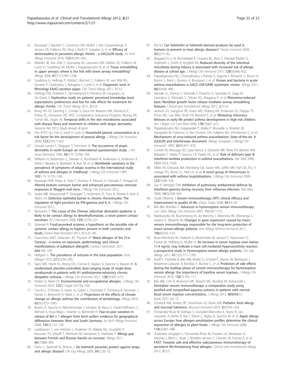- 61. Bousquet J, Bachert C, Canonica GW, Mullol J, Van Cauwenberge P, Jensen CB, Fokkens WJ, Ring J, Keith P, Gopalan G, et al: Efficacy of desloratadine in persistent allergic rhinitis - a GA(2)LEN study. Int Arch Allergy Immunol 2010, 153(4):395–402.
- 62. Watelet JB, Van Zele T, Gjomarkaj M, Canonica GW, Dahlen SE, Fokkens W, Lund VJ, Scadding GK, Mullol J, Papadopoulos N, et al: Tissue remodelling in upper airways: where is the link with lower airway remodelling? Allergy 2006, 61(11):1249–1258.
- 63. Scadding G, Hellings P, Alobid I, Bachert C, Fokkens W, van Wijk RG, Gevaert P, Guilemany J, Kalogjera L, Lund V, et al: Diagnostic tools in Rhinology EAACI position paper. Clin Transl Allergy 2011, 1(1):2.
- 64. Hellings PW, Dobbels F, Denhaerynck K, Piessens M, Ceuppens JL, De Geest S: Explorative study on patients' perceived knowledge level, expectations, preferences and fear for side effects for treatment for allergic rhinitis. Clin Transl Allergy 2012, 2(1):9.
- 65. Kong HH OJ, Deming C, Conlan S, Grice EA, Beatson MA, Nomicos E, Polley EC, Komarow HD, NISC Comparative Sequence Program, Murray PR, Turner ML, Segre JA: Temporal shifts in the skin microbiome associated with disease flares and treatment in children with atopic dermatitis. Genome Res 2012, Epub ahead of print.
- 66. Fox ATSP, du Toit G, Syed H, Lack G: Household peanut consumption as a risk factor for the development of peanut allergy. J Allergy Clin Immunol 2009, 123(2):417–423.
- 67. Schultz Larsen F, Diepgen T, Svensson A: The occurrence of atopic dermatitis in north Europe: an international questionnaire study. J Am Acad Dermatol 1996, 34(5 Pt 1):760–764.
- 68. Williams H, Robertson C, Stewart A, Ait-Khaled N, Anabwani G, Anderson R, Asher I, Beasley R, Bjorksten B, Burr M, et al: Worldwide variations in the prevalence of symptoms of atopic eczema in the international study of asthma and allergies in childhood. J Allergy Clin Immunol 1999, 103(1 Pt 1):125–138.
- 69. Kawasaki HNK, Kubo A, Hata T, Shimizu A, Mizuno H, Yamada T, Amagai M: Altered stratum corneum barrier and enhanced percutaneous immune responses in filaggrin-null mice. J Allergy Clin Immunol 2012, .
- 70. Soyka MB, Wawrzyniak P, Eiwegger T, Holzmann D, Treis A, Wanke K, Kast JI, Akdis CA: Defective epithelial barrier in chronic rhinosinusitis: The regulation of tight junctions by IFN-gamma and IL-4. J Allergy Clin Immunol 2012, .
- 71. Rantanen T: The cause of the Chinese sofa/chair dermatitis epidemic is likely to be contact allergy to dimethylfumarate, a novel potent contact sensitizer. Br J Dermatol 2008, 159(1):218–221.
- 72. Spiewak R: Food-provoked eczema: a hypothesis on the possible role of systemic contact allergy to haptens present in both cosmetics and foods. Estetol Med Kosmetol 2011, 1(1):35–40.
- 73. Faurschou AMT, Johansen JD, Thyssen JP: Metal allergen of the 21st Century - a review on exposure, epidemiology and clinical manifestations of palladium allergy95. Contact Dermatitis 2011, 644:185–195.
- 74. Hellgren L: The prevalence of urticaria in the total population. Acta Allergol 1972, 27(3):236–240.
- 75. Saini SRK, Hsieh HJ, Wong DA, Conner E, Kaplan A, Spector S, Maurer M: A randomized, placebo-controlled, dose-ranging study of single-dose omalizumab in patients with H1-antihistamine-refractory chronic idiopathic urticaria. J Allergy Clin Immunol 2011, 128(3):567-573.
- 76. Peden D, Reed CE: Environmental and occupational allergies. J Allergy Clin Immunol 2010, 125(2 Suppl 2):S150–160.
- 77. Cecchi L, D'Amato G, Ayres JG, Galan C, Forastiere F, Forsberg B, Gerritsen J, Nunes C, Behrendt H, Akdis C, et al: Projections of the effects of climate change on allergic asthma: the contribution of aerobiology. Allergy 2010, 65(9):1073–1081.
- 78. Buters JT, Kasche A, Weichenmeier I, Schober W, Klaus S, Traidl-Hoffmann C, Menzel A, Huss-Marp J, Kramer U, Behrendt H: Year-to-year variation in release of Bet v 1 allergen from birch pollen: evidence for geographical differences between West and South Germany. Int Arch Allergy Immunol 2008, 145(2):122–130.
- 79. Laatikainen T, von Hertzen L, Koskinen JP, Makela MJ, Jousilahti P, Kosunen TU, Vlasoff T, Ahlstrom M, Vartiainen E, Haahtela T: Allergy gap between Finnish and Russian Karelia on increase. Allergy 2011, 66(7):886–892.
- 80. Flohr C, Quinnell RJ, Britton J: Do helminth parasites protect against atopy and allergic disease? Clin Exp Allergy 2009, 39(1):20-32.
- 81. Erb KJ: Can helminths or helminth-derived products be used in humans to prevent or treat allergic diseases? Trends Immunol 2009, 30(2):75–82.
- 82. Bisgaard H, Li N, Bonnelykke K, Chawes BL, Skov T, Paludan-Muller G, Stokholm J, Smith B, Krogfelt KA: Reduced diversity of the intestinal microbiota during infancy is associated with increased risk of allergic disease at school age. J Allergy Clin Immunol 2011, 128(3):646-652.
- 83. Papadopoulos NG, Christodoulou I, Rohde G, Agache I, Almqvist C, Bruno A, Bonini S, Bont L, Bossios A, Bousquet J, et al: Viruses and bacteria in acute asthma exacerbations–a GA(2) LEN-DARE systematic review. Allergy 2011, 66(4):458–468.
- 84. Skevaki CL, Psarras S, Volonaki E, Pratsinis H, Spyridaki IS, Gaga M, Georgiou V, Vittorakis S, Telcian AG, Maggina P, et al: Rhinovirus-induced basic fibroblast growth factor release mediates airway remodeling features. Clinical and translational allergy 2012, 2(1):14.
- 85. Jackson DJ, Gangnon RE, Evans MD, Roberg KA, Anderson EL, Pappas TE, Printz MC, Lee WM, Shult PA, Reisdorf E, et al: Wheezing rhinovirus illnesses in early life predict asthma development in high-risk children. Am J Respir Crit Care Med 2008, 178(7):667–672.
- 86. Papadopoulos NG, Xepapadaki P, Mallia P, Brusselle G, Watelet JB, Xatzipsalti M, Foteinos G, Van Drunen CM, Fokkens WJ, D'Ambrosio C, et al: Mechanisms of virus-induced asthma exacerbations: State-of-the-art. A GA2LEN and InterAirways document. Allergy: European J Allergy Clin Immunol 2007, 62(5):457–470.
- 87. Contoli M, Message SD, Laza-Stanca V, Edwards MR, Wark PA, Bartlett NW, Kebadze T, Mallia P, Stanciu LA, Parker HL, et al: Role of deficient type III interferon-lambda production in asthma exacerbations. Nat Med 2006, 12(9):1023–1026.
- 88. Miller EK, Edwards KM, Weinberg GA, Iwane MK, Griffin MR, Hall CB, Zhu Y, Szilagyi PG, Morin LL, Heil LH, et al: A novel group of rhinoviruses is associated with asthma hospitalizations. J Allergy Clin Immunol 2009, 123(1):98–104.
- 89. Sun K, Metzger DW: Inhibition of pulmonary antibacterial defense by interferon-gamma during recovery from influenza infection. Nat Med 2008, 14(5):558–564.
- 90. Oude Elberink J: Venom immunotherapy (VIT): clinical efficacy and improvement in quality of life. Drugs Today 2008, 44:43–45.
- 91. Bilo BM, Bonifazi F: Advances in hymenoptera venom immunotherapy. Curr Opin Allergy Clin Immunol 2007, 7(6):567–573.
- 92. Niedoszytko M, Bruinenberg M, de Monchy J, Weersma RK, Wijmenga C, Jassem E, Elberink JN: Changes in gene expression caused by insect venom immunotherapy responsible for the long-term protection of insect venom-allergic patients. Ann Allergy Asthma Immunol 2011, 106(6):502–510.
- 93. Borer-Reinhold M, Haeberli G, Bitzenhofer M, Jandus P, Hausmann O, Fricker M, Helbling A, Muller U: An increase in serum tryptase even below 11.4 ng/mL may indicate a mast cell-mediated hypersensitivity reaction: a prospective study in Hymenoptera venom allergic patients. Clin Exp Allergy 2011, 41(12):1777–1783.
- 94. Rueff F, Przybilla B, Bilo MB, Muller U, Scheipl F, Aberer W, Birnbaum J, Bodzenta-Lukaszyk A, Bonifazi F, Bucher C, et al: Predictors of side effects during the buildup phase of venom immunotherapy for Hymenoptera venom allergy: the importance of baseline serum tryptase. J Allergy Clin Immunol 2010, 126(1):105–111.
- 95. Bilo MB, Cinti B, Brianzoni MF, Braschi MC, Bonifazi M, Antonicelli L: Honeybee venom immunotherapy: a comparative study using purified and nonpurified aqueous extracts in patients with normal Basal serum tryptase concentrations. J Allergy 2012, 869243:12. Epub 2012 Jan 12.
- 96. Scurlock AM, Vickery BP, Hourihane JO, Burks AW: Pediatric food allergy and mucosal tolerance. Mucosal Immunol 2010, 3(4):345–354.
- 97. Fernandez-Rivas M, Bolhaar S, Gonzalez-Mancebo E, Asero R, van Leeuwen A, Bohle B, Ma Y, Ebner C, Rigby N, Sancho AI, et al: Apple allergy across Europe: how allergen sensitization profiles determine the clinical expression of allergies to plant foods. J Allergy Clin Immunol 2006, 118(2):481–488.
- 98. Zuidmeer-Jongejan L, Fernandez-Rivas M, Poulsen LK, Neubauer A, Asturias J, Blom L, Boye J, Bindslev-Jensen C, Clausen M, Ferrara R, et al: FAST: Towards safe and effective subcutaneous immunotherapy of persistent life-threatening food allergies. Clinical and translational allergy 2012, 2(1):5.